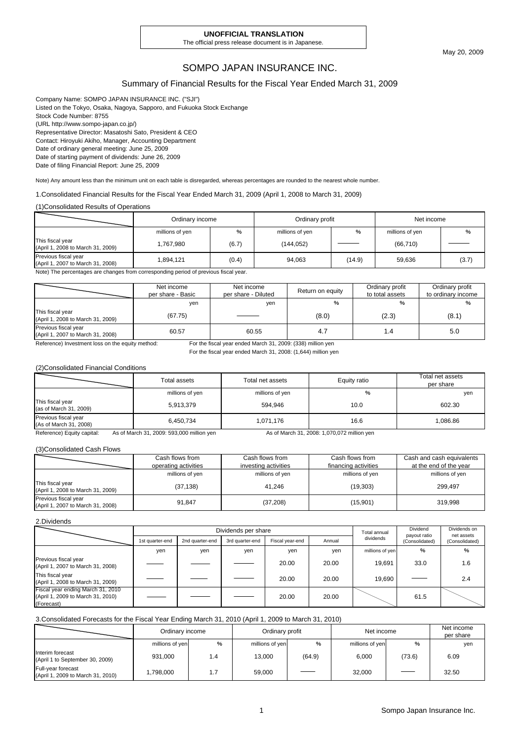#### **UNOFFICIAL TRANSLATION**

The official press release document is in Japanese.

May 20, 2009

### SOMPO JAPAN INSURANCE INC.

#### Summary of Financial Results for the Fiscal Year Ended March 31, 2009

Company Name: SOMPO JAPAN INSURANCE INC. ("SJI") Listed on the Tokyo, Osaka, Nagoya, Sapporo, and Fukuoka Stock Exchange Stock Code Number: 8755 (URL http://www.sompo-japan.co.jp/) Representative Director: Masatoshi Sato, President & CEO Contact: Hiroyuki Akiho, Manager, Accounting Department Date of ordinary general meeting: June 25, 2009 Date of starting payment of dividends: June 26, 2009 Date of filing Financial Report: June 25, 2009

Note) Any amount less than the minimum unit on each table is disregarded, whereas percentages are rounded to the nearest whole number.

1.Consolidated Financial Results for the Fiscal Year Ended March 31, 2009 (April 1, 2008 to March 31, 2009)

#### (1)Consolidated Results of Operations

|                                                           | Ordinary income |       | Ordinary profit |        | Net income      |       |
|-----------------------------------------------------------|-----------------|-------|-----------------|--------|-----------------|-------|
|                                                           | millions of yen | %     | millions of yen | %      | millions of yen | %     |
| This fiscal year<br>(April 1, 2008 to March 31, 2009)     | 1,767,980       | (6.7) | (144, 052)      |        | (66, 710)       |       |
| Previous fiscal year<br>(April 1, 2007 to March 31, 2008) | 894,121.        | (0.4) | 94,063          | (14.9) | 59.636          | (3.7) |

Note) The percentages are changes from corresponding period of previous fiscal year.

|                                                           | Net income<br>per share - Basic | Net income<br>per share - Diluted | Return on equity | Ordinary profit<br>to total assets | Ordinary profit<br>to ordinary income |
|-----------------------------------------------------------|---------------------------------|-----------------------------------|------------------|------------------------------------|---------------------------------------|
|                                                           | yen                             | yen                               | %                | %                                  | %                                     |
| This fiscal year<br>(April 1, 2008 to March 31, 2009)     | (67.75)                         |                                   | (8.0)            | (2.3)                              | (8.1)                                 |
| Previous fiscal year<br>(April 1, 2007 to March 31, 2008) | 60.57                           | 60.55                             | 4.7              |                                    | 5.0                                   |

Reference) Investment loss on the equity method: For the fiscal year ended March 31, 2009: (338) million yen

For the fiscal year ended March 31, 2008: (1,644) million yen

#### (2)Consolidated Financial Conditions

|                                                | Total assets    | Total net assets | Equity ratio | Total net assets<br>per share |
|------------------------------------------------|-----------------|------------------|--------------|-------------------------------|
|                                                | millions of yen | millions of yen  | %            | yen                           |
| This fiscal year<br>(as of March 31, 2009)     | 5,913,379       | 594.946          | 10.0         | 602.30                        |
| Previous fiscal year<br>(As of March 31, 2008) | 6,450,734       | 1,071,176        | 16.6         | 1.086.86                      |

Reference) Equity capital: As of March 31, 2009: 593,000 million yen As of March 31, 2008: 1,070,072 million yen

#### (3)Consolidated Cash Flows

|                                                           | Cash flows from<br>operating activities | Cash flows from<br>investing activities | Cash flows from<br>financing activities | Cash and cash equivalents<br>at the end of the year |
|-----------------------------------------------------------|-----------------------------------------|-----------------------------------------|-----------------------------------------|-----------------------------------------------------|
|                                                           | millions of yen                         | millions of yen                         | millions of yen                         | millions of yen                                     |
| This fiscal year<br>(April 1, 2008 to March 31, 2009)     | (37, 138)                               | 41.246                                  | (19, 303)                               | 299.497                                             |
| Previous fiscal year<br>(April 1, 2007 to March 31, 2008) | 91.847                                  | (37, 208)                               | (15,901)                                | 319.998                                             |

#### 2.Dividends

|                                                                                      | Dividends per share |                 |                 |                 |        | Total annual    | Dividend<br>payout ratio | Dividends on<br>net assets |
|--------------------------------------------------------------------------------------|---------------------|-----------------|-----------------|-----------------|--------|-----------------|--------------------------|----------------------------|
|                                                                                      | 1st quarter-end     | 2nd quarter-end | 3rd quarter-end | Fiscal year-end | Annual | dividends       | (Consolidated)           | (Consolidated)             |
|                                                                                      | yen                 | yen             | yen             | yen             | yen    | millions of yen | %                        | %                          |
| Previous fiscal year<br>(April 1, 2007 to March 31, 2008)                            |                     |                 |                 | 20.00           | 20.00  | 19.691          | 33.0                     | 1.6                        |
| This fiscal year<br>(April 1, 2008 to March 31, 2009)                                |                     |                 |                 | 20.00           | 20.00  | 19.690          |                          | 2.4                        |
| Fiscal year ending March 31, 2010<br>(April 1, 2009 to March 31, 2010)<br>(Forecast) |                     |                 |                 | 20.00           | 20.00  |                 | 61.5                     |                            |

#### 3.Consolidated Forecasts for the Fiscal Year Ending March 31, 2010 (April 1, 2009 to March 31, 2010)

|                                                         | Ordinary income |     | Ordinary profit |        | Net income      |        | Net income<br>per share |
|---------------------------------------------------------|-----------------|-----|-----------------|--------|-----------------|--------|-------------------------|
|                                                         | millions of yen | %   | millions of yen | %      | millions of yen | %      | yen                     |
| Interim forecast<br>(April 1 to September 30, 2009)     | 931,000         | 1.4 | 13.000          | (64.9) | 6,000           | (73.6) | 6.09                    |
| Full-year forecast<br>(April 1, 2009 to March 31, 2010) | 1,798,000       |     | 59,000          |        | 32.000          | ___    | 32.50                   |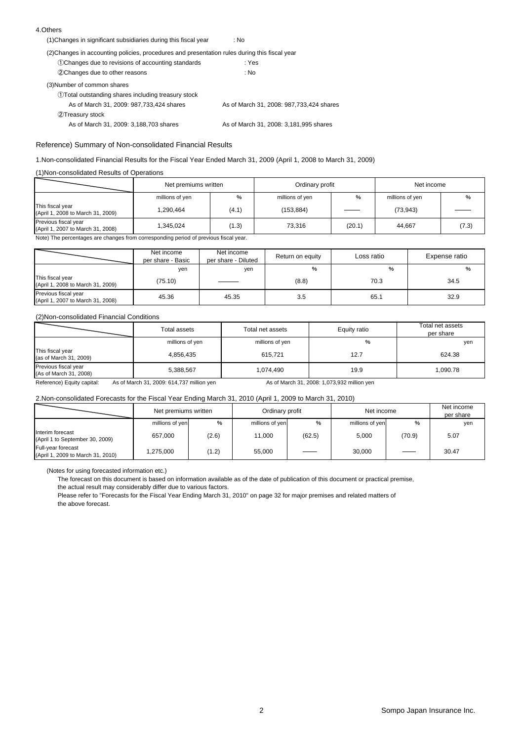#### 4.Others

| (1) Changes in significant subsidiaries during this fiscal year                               | : No                                       |
|-----------------------------------------------------------------------------------------------|--------------------------------------------|
| (2) Changes in accounting policies, procedures and presentation rules during this fiscal year |                                            |
| 1)Changes due to revisions of accounting standards                                            | : Yes                                      |
| 2 Changes due to other reasons                                                                | : No                                       |
| (3) Number of common shares                                                                   |                                            |
| 1) Total outstanding shares including treasury stock                                          |                                            |
| As of March 31, 2009: 987, 733, 424 shares                                                    | As of March 31, 2008: 987, 733, 424 shares |
| 2Treasury stock                                                                               |                                            |
| As of March 31, 2009: 3,188,703 shares                                                        | As of March 31, 2008: 3,181,995 shares     |
|                                                                                               |                                            |

#### Reference) Summary of Non-consolidated Financial Results

#### 1.Non-consolidated Financial Results for the Fiscal Year Ended March 31, 2009 (April 1, 2008 to March 31, 2009)

#### (1)Non-consolidated Results of Operations

|                                                           | Net premiums written |       | Ordinary profit |        | Net income      |       |
|-----------------------------------------------------------|----------------------|-------|-----------------|--------|-----------------|-------|
|                                                           | millions of yen      | %     | millions of yen | %      | millions of yen | %     |
| This fiscal year<br>(April 1, 2008 to March 31, 2009)     | 1,290,464            | (4.1) | (153, 884)      |        | (73, 943)       |       |
| Previous fiscal year<br>(April 1, 2007 to March 31, 2008) | 1.345.024            | (1.3) | 73,316          | (20.1) | 44.667          | (7.3) |

Note) The percentages are changes from corresponding period of previous fiscal year.

|                                                           | Net income<br>per share - Basic | Net income<br>per share - Diluted | Return on equity | Loss ratio | Expense ratio |
|-----------------------------------------------------------|---------------------------------|-----------------------------------|------------------|------------|---------------|
|                                                           | yen                             | yen                               | %                | $\%$       | %             |
| This fiscal year<br>(April 1, 2008 to March 31, 2009)     | (75.10)                         |                                   | (8.8)            | 70.3       | 34.5          |
| Previous fiscal year<br>(April 1, 2007 to March 31, 2008) | 45.36                           | 45.35                             | 3.5              | 65.1       | 32.9          |

#### (2)Non-consolidated Financial Conditions

|                                                | Total assets                              | Total net assets | Equity ratio                                | Total net assets<br>per share |
|------------------------------------------------|-------------------------------------------|------------------|---------------------------------------------|-------------------------------|
|                                                | millions of yen                           | millions of yen  | %                                           | yen                           |
| This fiscal year<br>(as of March 31, 2009)     | 4,856,435                                 | 615.721          | 12.7                                        | 624.38                        |
| Previous fiscal year<br>(As of March 31, 2008) | 5,388,567                                 | 1.074.490        | 19.9                                        | 1.090.78                      |
| Reference) Equity capital:                     | As of March 31, 2009: 614,737 million yen |                  | As of March 31, 2008: 1,073,932 million yen |                               |

#### 2.Non-consolidated Forecasts for the Fiscal Year Ending March 31, 2010 (April 1, 2009 to March 31, 2010)

|                                                         | Net premiums written |       | Ordinary profit |        | Net income      |               | Net income<br>per share |
|---------------------------------------------------------|----------------------|-------|-----------------|--------|-----------------|---------------|-------------------------|
|                                                         | millions of yen      | %     | millions of yen | %      | millions of yen | $\frac{0}{6}$ | yen                     |
| Interim forecast<br>(April 1 to September 30, 2009)     | 657,000              | (2.6) | 11.000          | (62.5) | 5,000           | (70.9)        | 5.07                    |
| Full-year forecast<br>(April 1, 2009 to March 31, 2010) | 1.275.000            | (1.2) | 55.000          |        | 30.000          | $\frac{1}{2}$ | 30.47                   |

(Notes for using forecasted information etc.)

The forecast on this document is based on information available as of the date of publication of this document or practical premise,

the actual result may considerably differ due to various factors.

Please refer to "Forecasts for the Fiscal Year Ending March 31, 2010" on page 32 for major premises and related matters of the above forecast.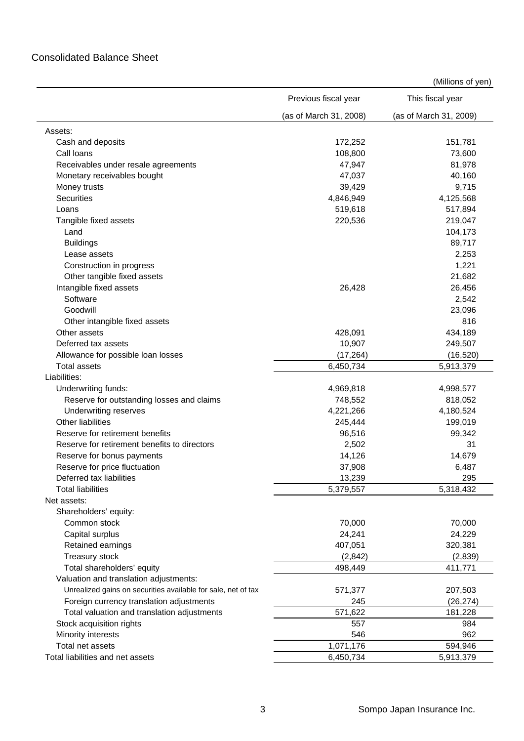## Consolidated Balance Sheet

|                                                               | Previous fiscal year   | This fiscal year       |
|---------------------------------------------------------------|------------------------|------------------------|
|                                                               | (as of March 31, 2008) | (as of March 31, 2009) |
| Assets:                                                       |                        |                        |
| Cash and deposits                                             | 172,252                | 151,781                |
| Call loans                                                    | 108,800                | 73,600                 |
| Receivables under resale agreements                           | 47,947                 | 81,978                 |
| Monetary receivables bought                                   | 47,037                 | 40,160                 |
| Money trusts                                                  | 39,429                 | 9,715                  |
| <b>Securities</b>                                             | 4,846,949              | 4,125,568              |
| Loans                                                         | 519,618                | 517,894                |
| Tangible fixed assets                                         | 220,536                | 219,047                |
| Land                                                          |                        | 104,173                |
| <b>Buildings</b>                                              |                        | 89,717                 |
| Lease assets                                                  |                        | 2,253                  |
| Construction in progress                                      |                        | 1,221                  |
| Other tangible fixed assets                                   |                        | 21,682                 |
| Intangible fixed assets                                       | 26,428                 | 26,456                 |
| Software                                                      |                        | 2,542                  |
| Goodwill                                                      |                        | 23,096                 |
| Other intangible fixed assets                                 |                        | 816                    |
| Other assets                                                  | 428,091                | 434,189                |
| Deferred tax assets                                           | 10,907                 | 249,507                |
| Allowance for possible loan losses                            | (17, 264)              | (16, 520)              |
| <b>Total assets</b>                                           | 6,450,734              | 5,913,379              |
| Liabilities:                                                  |                        |                        |
| Underwriting funds:                                           | 4,969,818              | 4,998,577              |
| Reserve for outstanding losses and claims                     | 748,552                | 818,052                |
| Underwriting reserves                                         | 4,221,266              | 4,180,524              |
| Other liabilities                                             | 245,444                | 199,019                |
| Reserve for retirement benefits                               | 96,516                 | 99,342                 |
| Reserve for retirement benefits to directors                  | 2,502                  | 31                     |
| Reserve for bonus payments                                    | 14,126                 | 14,679                 |
| Reserve for price fluctuation                                 | 37,908                 | 6,487                  |
| Deferred tax liabilities                                      | 13,239                 | 295                    |
| <b>Total liabilities</b>                                      | 5,379,557              | 5,318,432              |
| Net assets:                                                   |                        |                        |
| Shareholders' equity:                                         |                        |                        |
| Common stock                                                  | 70,000                 | 70,000                 |
| Capital surplus                                               | 24,241                 | 24,229                 |
| Retained earnings                                             | 407,051                | 320,381                |
| Treasury stock                                                | (2, 842)               | (2,839)                |
| Total shareholders' equity                                    | 498,449                | 411,771                |
| Valuation and translation adjustments:                        |                        |                        |
| Unrealized gains on securities available for sale, net of tax | 571,377                | 207,503                |
| Foreign currency translation adjustments                      | 245                    | (26, 274)              |
| Total valuation and translation adjustments                   | 571,622                | 181,228                |
| Stock acquisition rights                                      | 557                    | 984                    |
| Minority interests                                            | 546                    | 962                    |
| Total net assets                                              | 1,071,176              | 594,946                |
| Total liabilities and net assets                              | 6,450,734              | 5,913,379              |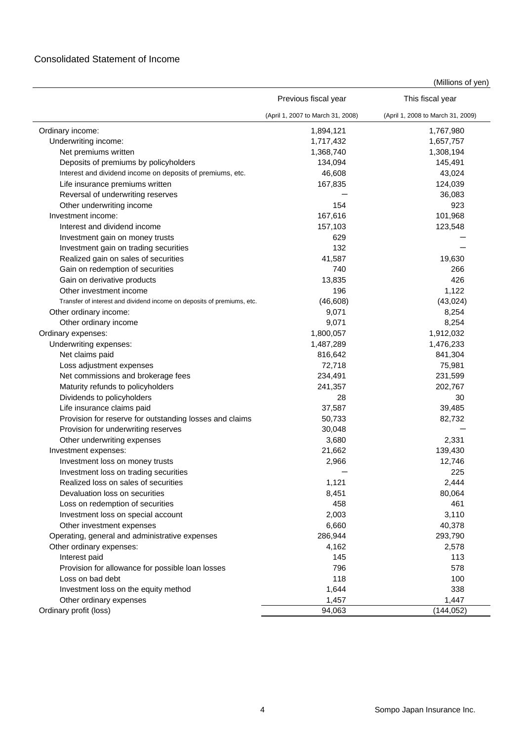|                                                                        | Previous fiscal year              | This fiscal year                  |
|------------------------------------------------------------------------|-----------------------------------|-----------------------------------|
|                                                                        | (April 1, 2007 to March 31, 2008) | (April 1, 2008 to March 31, 2009) |
| Ordinary income:                                                       | 1,894,121                         | 1,767,980                         |
| Underwriting income:                                                   | 1,717,432                         | 1,657,757                         |
| Net premiums written                                                   | 1,368,740                         | 1,308,194                         |
| Deposits of premiums by policyholders                                  | 134,094                           | 145,491                           |
| Interest and dividend income on deposits of premiums, etc.             | 46,608                            | 43,024                            |
| Life insurance premiums written                                        | 167,835                           | 124,039                           |
| Reversal of underwriting reserves                                      |                                   | 36,083                            |
| Other underwriting income                                              | 154                               | 923                               |
| Investment income:                                                     | 167,616                           | 101,968                           |
| Interest and dividend income                                           | 157,103                           | 123,548                           |
| Investment gain on money trusts                                        | 629                               |                                   |
| Investment gain on trading securities                                  | 132                               |                                   |
| Realized gain on sales of securities                                   | 41,587                            | 19,630                            |
| Gain on redemption of securities                                       | 740                               | 266                               |
| Gain on derivative products                                            | 13,835                            | 426                               |
| Other investment income                                                | 196                               | 1,122                             |
| Transfer of interest and dividend income on deposits of premiums, etc. | (46, 608)                         | (43, 024)                         |
| Other ordinary income:                                                 | 9,071                             | 8,254                             |
| Other ordinary income                                                  | 9,071                             | 8,254                             |
| Ordinary expenses:                                                     | 1,800,057                         | 1,912,032                         |
| Underwriting expenses:                                                 | 1,487,289                         | 1,476,233                         |
| Net claims paid                                                        | 816,642                           | 841,304                           |
| Loss adjustment expenses                                               | 72,718                            | 75,981                            |
| Net commissions and brokerage fees                                     | 234,491                           | 231,599                           |
| Maturity refunds to policyholders                                      | 241,357                           | 202,767                           |
| Dividends to policyholders                                             | 28                                | 30                                |
| Life insurance claims paid                                             | 37,587                            | 39,485                            |
| Provision for reserve for outstanding losses and claims                | 50,733                            | 82,732                            |
| Provision for underwriting reserves                                    | 30,048                            |                                   |
| Other underwriting expenses                                            | 3,680                             | 2,331                             |
| Investment expenses:                                                   | 21,662                            | 139,430                           |
| Investment loss on money trusts                                        | 2,966                             | 12,746                            |
| Investment loss on trading securities                                  |                                   | 225                               |
| Realized loss on sales of securities                                   | 1,121                             | 2,444                             |
| Devaluation loss on securities                                         | 8,451                             | 80,064                            |
| Loss on redemption of securities                                       | 458                               | 461                               |
| Investment loss on special account                                     | 2,003                             | 3,110                             |
| Other investment expenses                                              | 6,660                             | 40,378                            |
| Operating, general and administrative expenses                         | 286,944                           | 293,790                           |
| Other ordinary expenses:                                               | 4,162                             | 2,578                             |
| Interest paid                                                          | 145                               | 113                               |
| Provision for allowance for possible loan losses                       | 796                               | 578                               |
| Loss on bad debt                                                       | 118                               | 100                               |
| Investment loss on the equity method                                   | 1,644                             | 338                               |
| Other ordinary expenses                                                | 1,457                             | 1,447                             |
| Ordinary profit (loss)                                                 | 94,063                            | (144, 052)                        |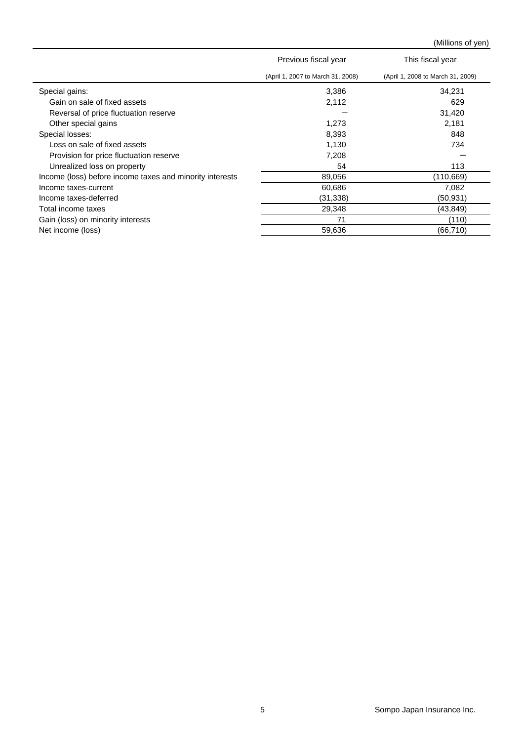|                                                          | Previous fiscal year              | This fiscal year                  |
|----------------------------------------------------------|-----------------------------------|-----------------------------------|
|                                                          | (April 1, 2007 to March 31, 2008) | (April 1, 2008 to March 31, 2009) |
| Special gains:                                           | 3,386                             | 34,231                            |
| Gain on sale of fixed assets                             | 2,112                             | 629                               |
| Reversal of price fluctuation reserve                    |                                   | 31,420                            |
| Other special gains                                      | 1,273                             | 2,181                             |
| Special losses:                                          | 8,393                             | 848                               |
| Loss on sale of fixed assets                             | 1,130                             | 734                               |
| Provision for price fluctuation reserve                  | 7,208                             |                                   |
| Unrealized loss on property                              | 54                                | 113                               |
| Income (loss) before income taxes and minority interests | 89,056                            | (110, 669)                        |
| Income taxes-current                                     | 60,686                            | 7,082                             |
| Income taxes-deferred                                    | (31, 338)                         | (50, 931)                         |
| Total income taxes                                       | 29,348                            | (43, 849)                         |
| Gain (loss) on minority interests                        | 71                                | (110)                             |
| Net income (loss)                                        | 59,636                            | (66, 710)                         |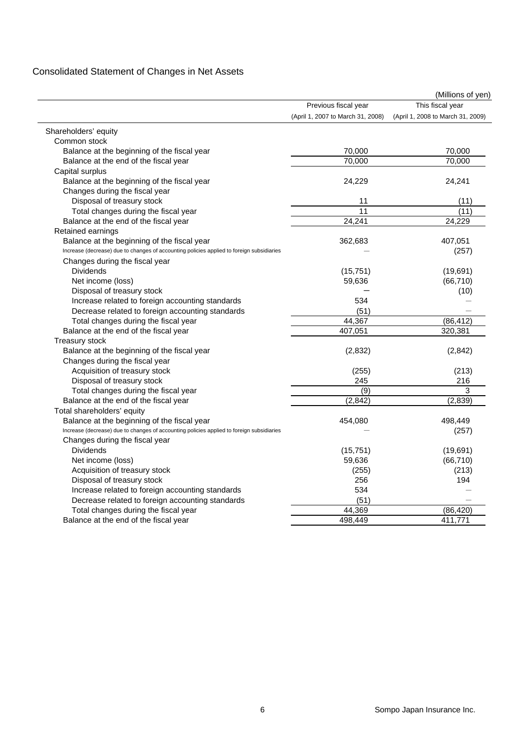# Consolidated Statement of Changes in Net Assets

|                                                                                           |                                   | (Millions of yen)                 |
|-------------------------------------------------------------------------------------------|-----------------------------------|-----------------------------------|
|                                                                                           | Previous fiscal year              | This fiscal year                  |
|                                                                                           | (April 1, 2007 to March 31, 2008) | (April 1, 2008 to March 31, 2009) |
| Shareholders' equity                                                                      |                                   |                                   |
| Common stock                                                                              |                                   |                                   |
| Balance at the beginning of the fiscal year                                               | 70,000                            | 70,000                            |
| Balance at the end of the fiscal year                                                     | 70,000                            | 70,000                            |
| Capital surplus                                                                           |                                   |                                   |
| Balance at the beginning of the fiscal year                                               | 24,229                            | 24,241                            |
| Changes during the fiscal year                                                            |                                   |                                   |
| Disposal of treasury stock                                                                | 11                                | (11)                              |
| Total changes during the fiscal year                                                      | 11                                | (11)                              |
| Balance at the end of the fiscal year                                                     | 24,241                            | 24,229                            |
| Retained earnings                                                                         |                                   |                                   |
| Balance at the beginning of the fiscal year                                               | 362,683                           | 407,051                           |
| Increase (decrease) due to changes of accounting policies applied to foreign subsidiaries |                                   | (257)                             |
| Changes during the fiscal year                                                            |                                   |                                   |
| <b>Dividends</b>                                                                          | (15, 751)                         | (19,691)                          |
| Net income (loss)                                                                         | 59,636                            | (66, 710)                         |
| Disposal of treasury stock                                                                |                                   | (10)                              |
| Increase related to foreign accounting standards                                          | 534                               |                                   |
| Decrease related to foreign accounting standards                                          | (51)                              |                                   |
| Total changes during the fiscal year                                                      | 44,367                            | (86, 412)                         |
| Balance at the end of the fiscal year                                                     | 407,051                           | 320,381                           |
| <b>Treasury stock</b>                                                                     |                                   |                                   |
| Balance at the beginning of the fiscal year                                               | (2,832)                           | (2,842)                           |
| Changes during the fiscal year                                                            |                                   |                                   |
| Acquisition of treasury stock                                                             | (255)                             | (213)                             |
| Disposal of treasury stock                                                                | 245                               | 216                               |
| Total changes during the fiscal year                                                      | $\overline{(9)}$                  | 3                                 |
| Balance at the end of the fiscal year                                                     | (2, 842)                          | (2,839)                           |
| Total shareholders' equity                                                                |                                   |                                   |
| Balance at the beginning of the fiscal year                                               | 454,080                           | 498,449                           |
| Increase (decrease) due to changes of accounting policies applied to foreign subsidiaries |                                   | (257)                             |
| Changes during the fiscal year                                                            |                                   |                                   |
| <b>Dividends</b>                                                                          | (15, 751)                         | (19, 691)                         |
| Net income (loss)                                                                         | 59,636                            | (66, 710)                         |
| Acquisition of treasury stock                                                             | (255)                             | (213)                             |
| Disposal of treasury stock                                                                | 256                               | 194                               |
| Increase related to foreign accounting standards                                          | 534                               |                                   |
| Decrease related to foreign accounting standards                                          | (51)                              |                                   |
| Total changes during the fiscal year                                                      | 44,369                            | (86, 420)                         |
| Balance at the end of the fiscal year                                                     | 498,449                           | 411,771                           |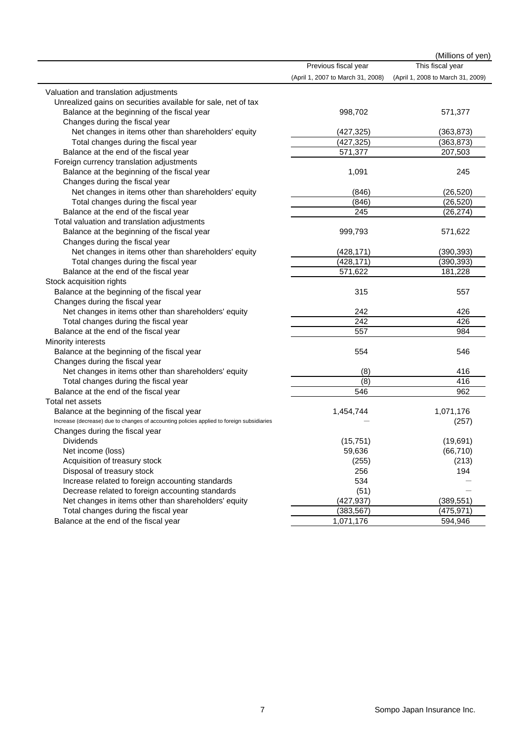|                                                                                           |                                   | (Millions of yen)                 |
|-------------------------------------------------------------------------------------------|-----------------------------------|-----------------------------------|
|                                                                                           | Previous fiscal year              | This fiscal year                  |
|                                                                                           | (April 1, 2007 to March 31, 2008) | (April 1, 2008 to March 31, 2009) |
| Valuation and translation adjustments                                                     |                                   |                                   |
| Unrealized gains on securities available for sale, net of tax                             |                                   |                                   |
| Balance at the beginning of the fiscal year                                               | 998,702                           | 571,377                           |
| Changes during the fiscal year                                                            |                                   |                                   |
| Net changes in items other than shareholders' equity                                      | (427, 325)                        | (363, 873)                        |
| Total changes during the fiscal year                                                      | (427, 325)                        | (363, 873)                        |
| Balance at the end of the fiscal year                                                     | 571,377                           | 207,503                           |
| Foreign currency translation adjustments                                                  |                                   |                                   |
| Balance at the beginning of the fiscal year                                               | 1,091                             | 245                               |
| Changes during the fiscal year                                                            |                                   |                                   |
| Net changes in items other than shareholders' equity                                      | (846)                             | (26, 520)                         |
| Total changes during the fiscal year                                                      | (846)                             | (26, 520)                         |
| Balance at the end of the fiscal year                                                     | 245                               | (26, 274)                         |
| Total valuation and translation adjustments                                               |                                   |                                   |
| Balance at the beginning of the fiscal year                                               | 999,793                           | 571,622                           |
| Changes during the fiscal year                                                            |                                   |                                   |
| Net changes in items other than shareholders' equity                                      | (428, 171)                        | (390, 393)                        |
| Total changes during the fiscal year                                                      | (428, 171)                        | (390, 393)                        |
| Balance at the end of the fiscal year                                                     | 571,622                           | 181,228                           |
| Stock acquisition rights                                                                  |                                   |                                   |
| Balance at the beginning of the fiscal year                                               | 315                               | 557                               |
| Changes during the fiscal year                                                            |                                   |                                   |
| Net changes in items other than shareholders' equity                                      | 242                               | 426                               |
| Total changes during the fiscal year                                                      | 242                               | 426                               |
| Balance at the end of the fiscal year                                                     | 557                               | 984                               |
| Minority interests                                                                        |                                   |                                   |
| Balance at the beginning of the fiscal year                                               | 554                               | 546                               |
| Changes during the fiscal year                                                            |                                   |                                   |
| Net changes in items other than shareholders' equity                                      | (8)                               | 416                               |
| Total changes during the fiscal year                                                      | (8)                               | 416                               |
| Balance at the end of the fiscal year                                                     | 546                               | 962                               |
| Total net assets                                                                          |                                   |                                   |
| Balance at the beginning of the fiscal year                                               | 1,454,744                         | 1,071,176                         |
| Increase (decrease) due to changes of accounting policies applied to foreign subsidiaries |                                   | (257)                             |
| Changes during the fiscal year                                                            |                                   |                                   |
| Dividends                                                                                 | (15, 751)                         | (19,691)                          |
| Net income (loss)                                                                         | 59,636                            | (66, 710)                         |
| Acquisition of treasury stock                                                             | (255)                             | (213)                             |
| Disposal of treasury stock                                                                | 256                               | 194                               |
| Increase related to foreign accounting standards                                          | 534                               |                                   |
| Decrease related to foreign accounting standards                                          | (51)                              |                                   |
| Net changes in items other than shareholders' equity                                      | (427, 937)                        | (389, 551)                        |
| Total changes during the fiscal year                                                      | (383, 567)                        | (475, 971)                        |
| Balance at the end of the fiscal year                                                     | 1,071,176                         | 594,946                           |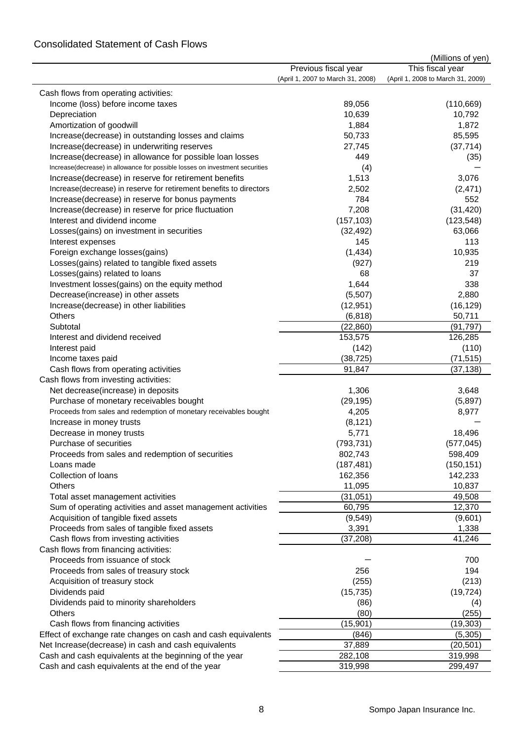### Consolidated Statement of Cash Flows

|                                                                              |                                   | (Millions of yen)                 |
|------------------------------------------------------------------------------|-----------------------------------|-----------------------------------|
|                                                                              | Previous fiscal year              | This fiscal year                  |
|                                                                              | (April 1, 2007 to March 31, 2008) | (April 1, 2008 to March 31, 2009) |
| Cash flows from operating activities:                                        |                                   |                                   |
| Income (loss) before income taxes                                            | 89,056                            | (110, 669)                        |
| Depreciation                                                                 | 10,639                            | 10,792                            |
| Amortization of goodwill                                                     | 1,884                             | 1,872                             |
| Increase(decrease) in outstanding losses and claims                          | 50,733                            | 85,595                            |
| Increase(decrease) in underwriting reserves                                  | 27,745                            | (37, 714)                         |
| Increase(decrease) in allowance for possible loan losses                     | 449                               | (35)                              |
| Increase(decrease) in allowance for possible losses on investment securities | (4)                               |                                   |
| Increase(decrease) in reserve for retirement benefits                        | 1,513                             | 3,076                             |
| Increase(decrease) in reserve for retirement benefits to directors           | 2,502                             | (2, 471)                          |
|                                                                              |                                   |                                   |
| Increase(decrease) in reserve for bonus payments                             | 784                               | 552                               |
| Increase(decrease) in reserve for price fluctuation                          | 7,208                             | (31, 420)                         |
| Interest and dividend income                                                 | (157, 103)                        | (123, 548)                        |
| Losses(gains) on investment in securities                                    | (32, 492)                         | 63,066                            |
| Interest expenses                                                            | 145                               | 113                               |
| Foreign exchange losses(gains)                                               | (1,434)                           | 10,935                            |
| Losses(gains) related to tangible fixed assets                               | (927)                             | 219                               |
| Losses(gains) related to loans                                               | 68                                | 37                                |
| Investment losses(gains) on the equity method                                | 1,644                             | 338                               |
| Decrease(increase) in other assets                                           | (5,507)                           | 2,880                             |
| Increase(decrease) in other liabilities                                      | (12, 951)                         | (16, 129)                         |
| <b>Others</b>                                                                | (6, 818)                          | 50,711                            |
| Subtotal                                                                     | (22, 860)                         | (91, 797)                         |
| Interest and dividend received                                               | 153,575                           | 126,285                           |
| Interest paid                                                                | (142)                             | (110)                             |
| Income taxes paid                                                            | (38, 725)                         | (71, 515)                         |
| Cash flows from operating activities                                         | 91,847                            | (37, 138)                         |
| Cash flows from investing activities:                                        |                                   |                                   |
| Net decrease(increase) in deposits                                           | 1,306                             | 3,648                             |
| Purchase of monetary receivables bought                                      | (29, 195)                         | (5,897)                           |
| Proceeds from sales and redemption of monetary receivables bought            | 4,205                             | 8,977                             |
| Increase in money trusts                                                     | (8, 121)                          |                                   |
| Decrease in money trusts                                                     | 5,771                             | 18,496                            |
| Purchase of securities                                                       | (793, 731)                        | (577, 045)                        |
| Proceeds from sales and redemption of securities                             | 802,743                           | 598,409                           |
| Loans made                                                                   | (187, 481)                        | (150, 151)                        |
| Collection of loans                                                          | 162,356                           | 142,233                           |
| Others                                                                       | 11,095                            | 10,837                            |
| Total asset management activities                                            | (31, 051)                         | 49,508                            |
| Sum of operating activities and asset management activities                  | 60,795                            | 12,370                            |
| Acquisition of tangible fixed assets                                         | (9, 549)                          | (9,601)                           |
|                                                                              |                                   |                                   |
| Proceeds from sales of tangible fixed assets                                 | 3,391                             | 1,338                             |
| Cash flows from investing activities                                         | (37, 208)                         | 41,246                            |
| Cash flows from financing activities:                                        |                                   |                                   |
| Proceeds from issuance of stock                                              |                                   | 700                               |
| Proceeds from sales of treasury stock                                        | 256                               | 194                               |
| Acquisition of treasury stock                                                | (255)                             | (213)                             |
| Dividends paid                                                               | (15, 735)                         | (19, 724)                         |
| Dividends paid to minority shareholders                                      | (86)                              | (4)                               |
| Others                                                                       | (80)                              | (255)                             |
| Cash flows from financing activities                                         | (15, 901)                         | (19, 303)                         |
| Effect of exchange rate changes on cash and cash equivalents                 | (846)                             | (5, 305)                          |
| Net Increase(decrease) in cash and cash equivalents                          | 37,889                            | (20, 501)                         |
| Cash and cash equivalents at the beginning of the year                       | 282,108                           | 319,998                           |
| Cash and cash equivalents at the end of the year                             | 319,998                           | 299,497                           |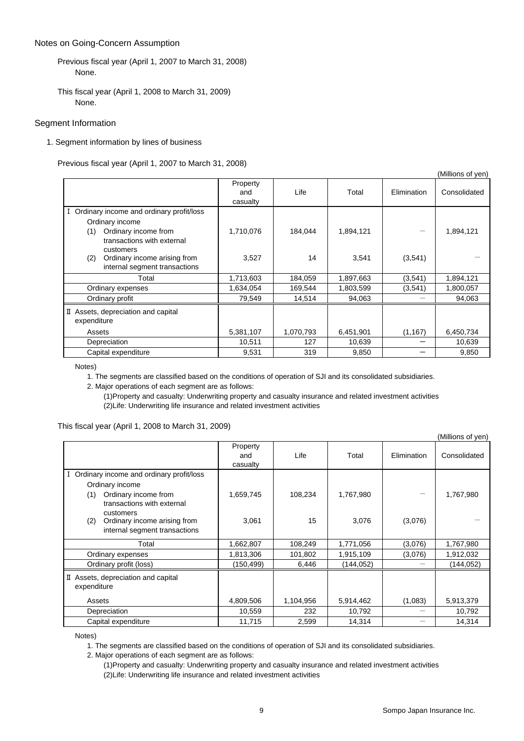#### Notes on Going-Concern Assumption

#### Segment Information

1. Segment information by lines of business

Previous fiscal year (April 1, 2007 to March 31, 2008)

|                                                    |                             |           |           |             | (ivililions of yen) |
|----------------------------------------------------|-----------------------------|-----------|-----------|-------------|---------------------|
|                                                    | Property<br>and<br>casualty | Life      | Total     | Elimination | Consolidated        |
| I Ordinary income and ordinary profit/loss         |                             |           |           |             |                     |
| Ordinary income                                    |                             |           |           |             |                     |
| Ordinary income from<br>(1)                        | 1,710,076                   | 184,044   | 1,894,121 |             | 1,894,121           |
| transactions with external                         |                             |           |           |             |                     |
| customers<br>Ordinary income arising from<br>(2)   | 3,527                       | 14        | 3,541     | (3,541)     |                     |
| internal segment transactions                      |                             |           |           |             |                     |
| Total                                              | 1,713,603                   | 184,059   | 1,897,663 | (3,541)     | 1,894,121           |
| Ordinary expenses                                  | 1,634,054                   | 169,544   | 1,803,599 | (3,541)     | 1,800,057           |
| Ordinary profit                                    | 79,549                      | 14,514    | 94,063    |             | 94,063              |
| II Assets, depreciation and capital<br>expenditure |                             |           |           |             |                     |
| Assets                                             | 5,381,107                   | 1,070,793 | 6,451,901 | (1, 167)    | 6,450,734           |
| Depreciation                                       | 10,511                      | 127       | 10,639    |             | 10,639              |
| Capital expenditure                                | 9,531                       | 319       | 9,850     |             | 9,850               |

Notes)

1. The segments are classified based on the conditions of operation of SJI and its consolidated subsidiaries.

2. Major operations of each segment are as follows:

(1)Property and casualty: Underwriting property and casualty insurance and related investment activities (2)Life: Underwriting life insurance and related investment activities

#### This fiscal year (April 1, 2008 to March 31, 2009)

(Millions of yen)

 $(0.001)$ 

|                                                                      | Property<br>and<br>casualty | Life      | Total      | Elimination | Consolidated |
|----------------------------------------------------------------------|-----------------------------|-----------|------------|-------------|--------------|
| I Ordinary income and ordinary profit/loss                           |                             |           |            |             |              |
| Ordinary income                                                      |                             |           |            |             |              |
| Ordinary income from<br>(1)<br>transactions with external            | 1,659,745                   | 108,234   | 1,767,980  |             | 1,767,980    |
| customers                                                            |                             | 15        |            |             |              |
| Ordinary income arising from<br>(2)<br>internal segment transactions | 3,061                       |           | 3,076      | (3,076)     |              |
| Total                                                                | 1,662,807                   | 108,249   | 1,771,056  | (3,076)     | 1,767,980    |
| Ordinary expenses                                                    | 1,813,306                   | 101,802   | 1,915,109  | (3,076)     | 1,912,032    |
| Ordinary profit (loss)                                               | (150, 499)                  | 6,446     | (144, 052) |             | (144, 052)   |
| II Assets, depreciation and capital<br>expenditure                   |                             |           |            |             |              |
| Assets                                                               | 4,809,506                   | 1,104,956 | 5,914,462  | (1,083)     | 5,913,379    |
| Depreciation                                                         | 10,559                      | 232       | 10,792     |             | 10,792       |
| Capital expenditure                                                  | 11,715                      | 2,599     | 14,314     |             | 14,314       |

Notes)

1. The segments are classified based on the conditions of operation of SJI and its consolidated subsidiaries.

2. Major operations of each segment are as follows:

(1)Property and casualty: Underwriting property and casualty insurance and related investment activities (2)Life: Underwriting life insurance and related investment activities

Previous fiscal year (April 1, 2007 to March 31, 2008) None.

This fiscal year (April 1, 2008 to March 31, 2009) None.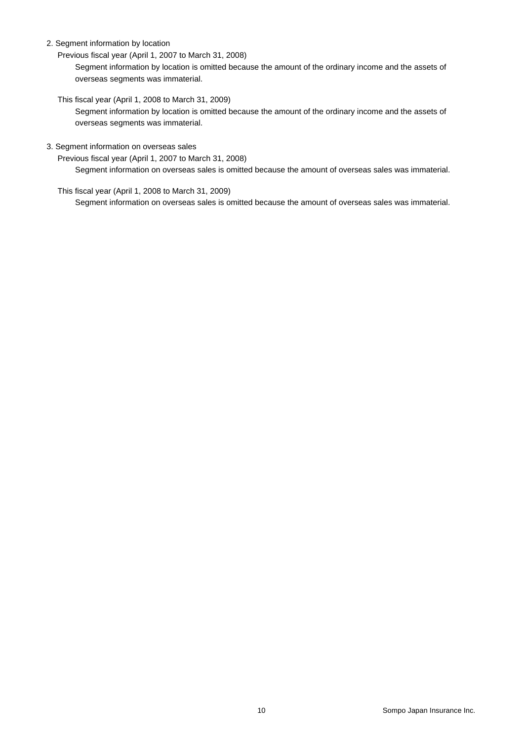2. Segment information by location

Previous fiscal year (April 1, 2007 to March 31, 2008)

Segment information by location is omitted because the amount of the ordinary income and the assets of overseas segments was immaterial.

This fiscal year (April 1, 2008 to March 31, 2009)

Segment information by location is omitted because the amount of the ordinary income and the assets of overseas segments was immaterial.

3. Segment information on overseas sales

Previous fiscal year (April 1, 2007 to March 31, 2008)

Segment information on overseas sales is omitted because the amount of overseas sales was immaterial.

This fiscal year (April 1, 2008 to March 31, 2009)

Segment information on overseas sales is omitted because the amount of overseas sales was immaterial.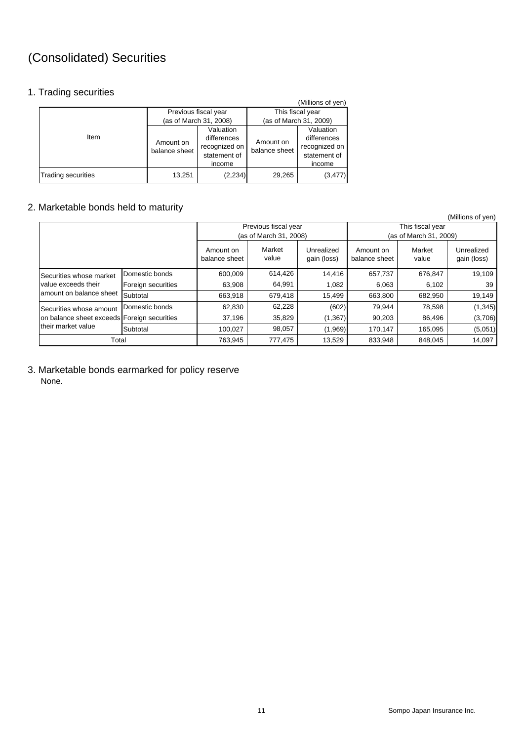# (Consolidated) Securities

### 1. Trading securities

|                           |                            |                        |                        | (Millions of yen) |  |
|---------------------------|----------------------------|------------------------|------------------------|-------------------|--|
|                           |                            | Previous fiscal year   | This fiscal year       |                   |  |
| Item                      |                            | (as of March 31, 2008) | (as of March 31, 2009) |                   |  |
|                           |                            | Valuation              |                        | Valuation         |  |
|                           | Amount on<br>balance sheet | differences            | Amount on              | differences       |  |
|                           |                            | recognized on          | balance sheet          | recognized on     |  |
|                           |                            | statement of           |                        | statement of      |  |
|                           |                            | income                 |                        | income            |  |
| <b>Trading securities</b> | 13,251                     | (2, 234)               | 29,265                 | (3, 477)          |  |

### 2. Marketable bonds held to maturity

|                                             |                    |                            |                                                |                           |                                            |                 | (Millions of yen)         |
|---------------------------------------------|--------------------|----------------------------|------------------------------------------------|---------------------------|--------------------------------------------|-----------------|---------------------------|
|                                             |                    |                            | Previous fiscal year<br>(as of March 31, 2008) |                           | This fiscal year<br>(as of March 31, 2009) |                 |                           |
|                                             |                    | Amount on<br>balance sheet | Market<br>value                                | Unrealized<br>gain (loss) | Amount on<br>balance sheet                 | Market<br>value | Unrealized<br>gain (loss) |
| Securities whose market                     | Domestic bonds     | 600,009                    | 614,426                                        | 14,416                    | 657,737                                    | 676,847         | 19,109                    |
| value exceeds their                         | Foreign securities | 63,908                     | 64,991                                         | 1,082                     | 6,063                                      | 6,102           | 39                        |
| amount on balance sheet                     | Subtotal           | 663,918                    | 679,418                                        | 15,499                    | 663,800                                    | 682,950         | 19,149                    |
| Securities whose amount                     | Domestic bonds     | 62,830                     | 62,228                                         | (602)                     | 79,944                                     | 78,598          | (1, 345)                  |
| on balance sheet exceeds Foreign securities |                    | 37,196                     | 35,829                                         | (1, 367)                  | 90,203                                     | 86,496          | (3,706)                   |
| their market value                          | Subtotal           | 100.027                    | 98,057                                         | (1,969)                   | 170,147                                    | 165,095         | (5,051)                   |
| Total                                       |                    | 763,945                    | 777,475                                        | 13,529                    | 833,948                                    | 848.045         | 14,097                    |

3. Marketable bonds earmarked for policy reserve None.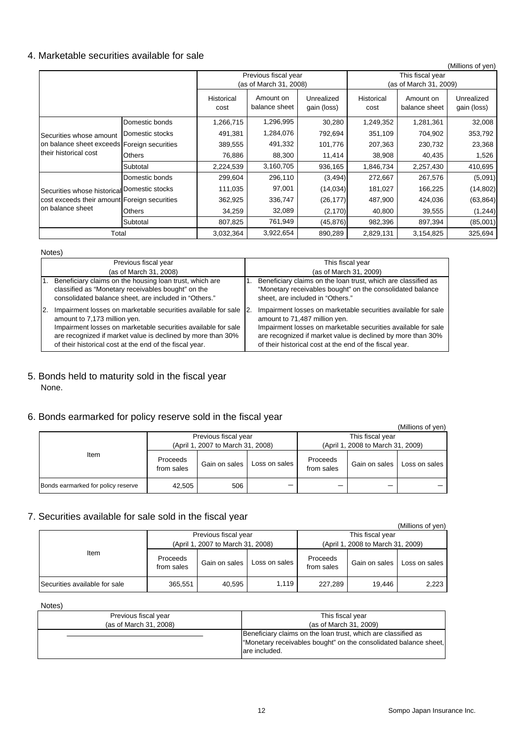### 4. Marketable securities available for sale

|                                              |                 |                    |                                                |                           |                    |                                            | (Millions of yen)         |  |
|----------------------------------------------|-----------------|--------------------|------------------------------------------------|---------------------------|--------------------|--------------------------------------------|---------------------------|--|
|                                              |                 |                    | Previous fiscal year<br>(as of March 31, 2008) |                           |                    | This fiscal year<br>(as of March 31, 2009) |                           |  |
|                                              |                 | Historical<br>cost | Amount on<br>balance sheet                     | Unrealized<br>gain (loss) | Historical<br>cost | Amount on<br>balance sheet                 | Unrealized<br>gain (loss) |  |
|                                              | Domestic bonds  | 1,266,715          | 1,296,995                                      | 30,280                    | 1,249,352          | 1,281,361                                  | 32,008                    |  |
| Securities whose amount                      | Domestic stocks | 491,381            | 1,284,076                                      | 792,694                   | 351,109            | 704,902                                    | 353,792                   |  |
| on balance sheet exceeds Foreign securities  |                 | 389,555            | 491,332                                        | 101,776                   | 207,363            | 230,732                                    | 23,368                    |  |
| their historical cost                        | Others          | 76,886             | 88,300                                         | 11,414                    | 38,908             | 40,435                                     | 1,526                     |  |
|                                              | Subtotal        | 2,224,539          | 3,160,705                                      | 936,165                   | 1,846,734          | 2,257,430                                  | 410,695                   |  |
|                                              | Domestic bonds  | 299,604            | 296,110                                        | (3, 494)                  | 272,667            | 267,576                                    | (5,091)                   |  |
| Securities whose historical Domestic stocks  |                 | 111,035            | 97,001                                         | (14, 034)                 | 181,027            | 166,225                                    | (14, 802)                 |  |
| cost exceeds their amount Foreign securities |                 | 362,925            | 336,747                                        | (26, 177)                 | 487,900            | 424,036                                    | (63, 864)                 |  |
| on balance sheet                             | Others          | 34,259             | 32,089                                         | (2, 170)                  | 40,800             | 39,555                                     | (1,244)                   |  |
|                                              | Subtotal        | 807,825            | 761,949                                        | (45,876)                  | 982,396            | 897,394                                    | (85,001)                  |  |
| Total                                        |                 | 3,032,364          | 3,922,654                                      | 890,289                   | 2,829,131          | 3,154,825                                  | 325,694                   |  |

#### Notes)

|           | Previous fiscal year                                                                                                                                                                                                                                                                        |    | This fiscal year                                                                                                                                                                                                                                                                          |
|-----------|---------------------------------------------------------------------------------------------------------------------------------------------------------------------------------------------------------------------------------------------------------------------------------------------|----|-------------------------------------------------------------------------------------------------------------------------------------------------------------------------------------------------------------------------------------------------------------------------------------------|
|           | (as of March 31, 2008)                                                                                                                                                                                                                                                                      |    | (as of March 31, 2009)                                                                                                                                                                                                                                                                    |
|           | Beneficiary claims on the housing loan trust, which are<br>classified as "Monetary receivables bought" on the<br>consolidated balance sheet, are included in "Others."                                                                                                                      | 1. | Beneficiary claims on the loan trust, which are classified as<br>"Monetary receivables bought" on the consolidated balance<br>sheet, are included in "Others."                                                                                                                            |
| <b>2.</b> | Impairment losses on marketable securities available for sale 2.<br>amount to 7,173 million yen.<br>Impairment losses on marketable securities available for sale<br>are recognized if market value is declined by more than 30%<br>of their historical cost at the end of the fiscal year. |    | Impairment losses on marketable securities available for sale<br>amount to 71,487 million yen.<br>Impairment losses on marketable securities available for sale<br>are recognized if market value is declined by more than 30%<br>of their historical cost at the end of the fiscal year. |

5. Bonds held to maturity sold in the fiscal year None.

## 6. Bonds earmarked for policy reserve sold in the fiscal year

|                                    |                        |                                   |               |                                   |               | (Millions of yen) |  |
|------------------------------------|------------------------|-----------------------------------|---------------|-----------------------------------|---------------|-------------------|--|
| Item                               |                        | Previous fiscal year              |               | This fiscal year                  |               |                   |  |
|                                    |                        | (April 1, 2007 to March 31, 2008) |               | (April 1, 2008 to March 31, 2009) |               |                   |  |
|                                    | Proceeds<br>from sales | Gain on sales                     | Loss on sales | Proceeds<br>from sales            | Gain on sales | Loss on sales     |  |
| Bonds earmarked for policy reserve | 42,505                 | 506                               |               |                                   |               |                   |  |

## 7. Securities available for sale sold in the fiscal year

| <u>ooodinoo umumuu iyi yulo oolu ili ilio iloodi madi</u> |                                   |                      |                                   |                        |               | (Millions of yen) |  |
|-----------------------------------------------------------|-----------------------------------|----------------------|-----------------------------------|------------------------|---------------|-------------------|--|
|                                                           |                                   | Previous fiscal year |                                   | This fiscal year       |               |                   |  |
|                                                           | (April 1, 2007 to March 31, 2008) |                      | (April 1, 2008 to March 31, 2009) |                        |               |                   |  |
| Item                                                      | Proceeds<br>from sales            | Gain on sales        | Loss on sales                     | Proceeds<br>from sales | Gain on sales | Loss on sales     |  |
| Securities available for sale                             | 365,551                           | 40,595               | 1.119                             | 227.289                | 19.446        | 2,223             |  |

Notes)

| Previous fiscal year   | This fiscal year                                                                                                                                   |
|------------------------|----------------------------------------------------------------------------------------------------------------------------------------------------|
| (as of March 31, 2008) | (as of March 31, 2009)                                                                                                                             |
|                        | Beneficiary claims on the loan trust, which are classified as<br>"Monetary receivables bought" on the consolidated balance sheet,<br>are included. |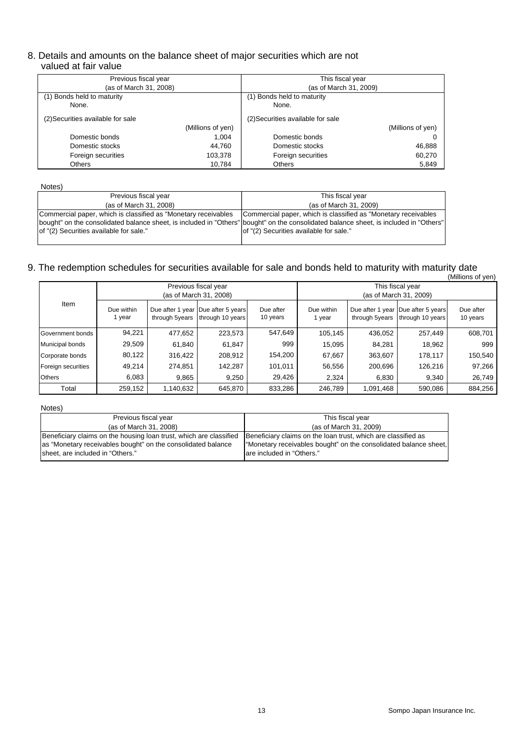### 8. Details and amounts on the balance sheet of major securities which are not valued at fair value

| Previous fiscal year              |                   | This fiscal year                  |                   |  |
|-----------------------------------|-------------------|-----------------------------------|-------------------|--|
| (as of March 31, 2008)            |                   | (as of March 31, 2009)            |                   |  |
| (1) Bonds held to maturity        |                   | (1) Bonds held to maturity        |                   |  |
| None.                             |                   | None.                             |                   |  |
| (2) Securities available for sale |                   | (2) Securities available for sale |                   |  |
|                                   | (Millions of yen) |                                   | (Millions of yen) |  |
| Domestic bonds                    | 1.004             | Domestic bonds                    |                   |  |
| Domestic stocks                   | 44,760            | Domestic stocks                   | 46,888            |  |
| Foreign securities                | 103,378           | Foreign securities                | 60,270            |  |
| <b>Others</b>                     | 10.784            | <b>Others</b>                     | 5,849             |  |

#### Notes)

| .                                                                                                                              |                                                                                                                                       |
|--------------------------------------------------------------------------------------------------------------------------------|---------------------------------------------------------------------------------------------------------------------------------------|
| Previous fiscal year                                                                                                           | This fiscal year                                                                                                                      |
| (as of March 31, 2008)                                                                                                         | (as of March 31, 2009)                                                                                                                |
| Commercial paper, which is classified as "Monetary receivables Commercial paper, which is classified as "Monetary receivables" |                                                                                                                                       |
|                                                                                                                                | bought" on the consolidated balance sheet, is included in "Others" bought" on the consolidated balance sheet, is included in "Others" |
| of "(2) Securities available for sale."                                                                                        | of "(2) Securities available for sale."                                                                                               |
|                                                                                                                                |                                                                                                                                       |

### 9. The redemption schedules for securities available for sale and bonds held to maturity with maturity date

|                    |                      |                |                                                           |                       |                                            |                |                                                        | (Millions of yen)     |  |
|--------------------|----------------------|----------------|-----------------------------------------------------------|-----------------------|--------------------------------------------|----------------|--------------------------------------------------------|-----------------------|--|
|                    |                      |                | Previous fiscal year<br>(as of March 31, 2008)            |                       | This fiscal year<br>(as of March 31, 2009) |                |                                                        |                       |  |
| Item               | Due within<br>l year | through 5years | Due after 1 year   Due after 5 years <br>through 10 years | Due after<br>10 years | Due within<br>1 year                       | through 5years | Due after 1 year Due after 5 years<br>through 10 years | Due after<br>10 years |  |
| Government bonds   | 94,221               | 477,652        | 223,573                                                   | 547,649               | 105,145                                    | 436,052        | 257,449                                                | 608,701               |  |
| Municipal bonds    | 29,509               | 61,840         | 61.847                                                    | 999                   | 15,095                                     | 84,281         | 18,962                                                 | 999                   |  |
| Corporate bonds    | 80,122               | 316.422        | 208,912                                                   | 154,200               | 67,667                                     | 363,607        | 178.117                                                | 150,540               |  |
| Foreign securities | 49.214               | 274.851        | 142.287                                                   | 101,011               | 56,556                                     | 200.696        | 126.216                                                | 97,266                |  |
| Others             | 6.083                | 9,865          | 9,250                                                     | 29,426                | 2,324                                      | 6,830          | 9,340                                                  | 26,749                |  |
| Total              | 259,152              | 1,140,632      | 645,870                                                   | 833,286               | 246,789                                    | 1,091,468      | 590,086                                                | 884,256               |  |

#### Notes)

| Previous fiscal year                                                                                                                                                   | This fiscal year                                                                                                                                                |  |  |  |  |  |
|------------------------------------------------------------------------------------------------------------------------------------------------------------------------|-----------------------------------------------------------------------------------------------------------------------------------------------------------------|--|--|--|--|--|
| (as of March 31, 2008)                                                                                                                                                 | (as of March 31, 2009)                                                                                                                                          |  |  |  |  |  |
| Beneficiary claims on the housing loan trust, which are classified<br>as "Monetary receivables bought" on the consolidated balance<br>sheet, are included in "Others." | Beneficiary claims on the loan trust, which are classified as<br>"Monetary receivables bought" on the consolidated balance sheet,<br>lare included in "Others." |  |  |  |  |  |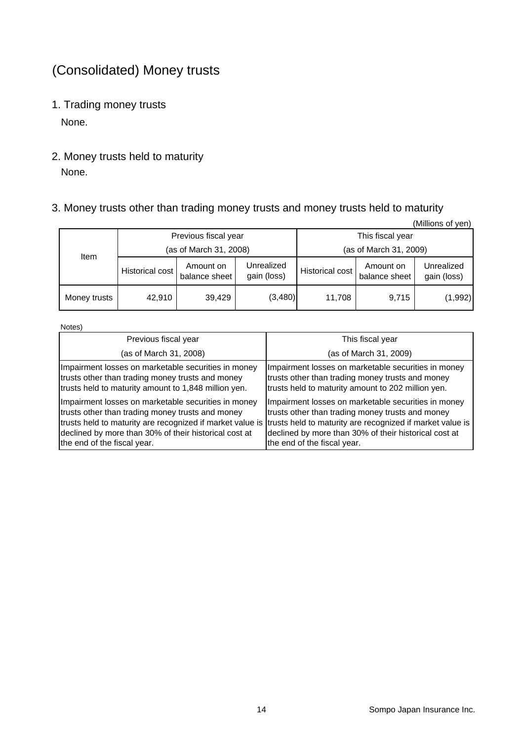# (Consolidated) Money trusts

1. Trading money trusts

None.

2. Money trusts held to maturity None.

# 3. Money trusts other than trading money trusts and money trusts held to maturity

|              |                 |                            |                           |                        |                            | (Millions of yen)         |  |  |
|--------------|-----------------|----------------------------|---------------------------|------------------------|----------------------------|---------------------------|--|--|
|              |                 | Previous fiscal year       |                           | This fiscal year       |                            |                           |  |  |
| ltem         |                 | (as of March 31, 2008)     |                           | (as of March 31, 2009) |                            |                           |  |  |
|              | Historical cost | Amount on<br>balance sheet | Unrealized<br>gain (loss) | Historical cost        | Amount on<br>balance sheet | Unrealized<br>gain (loss) |  |  |
| Money trusts | 42,910          | 39.429                     | (3,480)                   | 11.708                 | 9,715                      | (1,992)                   |  |  |

Notes)

| Previous fiscal year                                                                                                                                                                            | This fiscal year                                                                                                                                                                                                                                                                                                       |
|-------------------------------------------------------------------------------------------------------------------------------------------------------------------------------------------------|------------------------------------------------------------------------------------------------------------------------------------------------------------------------------------------------------------------------------------------------------------------------------------------------------------------------|
| (as of March 31, 2008)                                                                                                                                                                          | (as of March 31, 2009)                                                                                                                                                                                                                                                                                                 |
| Impairment losses on marketable securities in money<br>trusts other than trading money trusts and money<br>trusts held to maturity amount to 1,848 million yen.                                 | Impairment losses on marketable securities in money<br>trusts other than trading money trusts and money<br>trusts held to maturity amount to 202 million yen.                                                                                                                                                          |
| Impairment losses on marketable securities in money<br>trusts other than trading money trusts and money<br>declined by more than 30% of their historical cost at<br>the end of the fiscal year. | Impairment losses on marketable securities in money<br>trusts other than trading money trusts and money<br>trusts held to maturity are recognized if market value is trusts held to maturity are recognized if market value is<br>declined by more than 30% of their historical cost at<br>the end of the fiscal year. |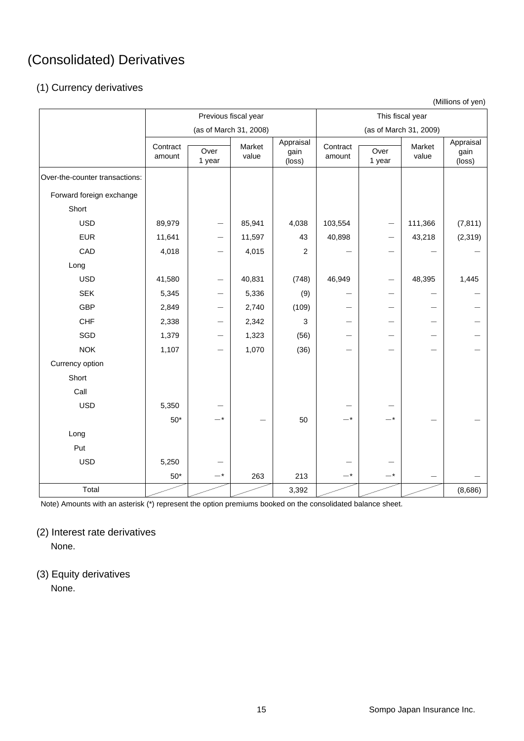# (Consolidated) Derivatives

# (1) Currency derivatives

(Millions of yen)

|                                | Previous fiscal year |                                |                 | This fiscal year            |                        |                |                 |                             |
|--------------------------------|----------------------|--------------------------------|-----------------|-----------------------------|------------------------|----------------|-----------------|-----------------------------|
|                                |                      | (as of March 31, 2008)         |                 |                             | (as of March 31, 2009) |                |                 |                             |
|                                | Contract<br>amount   | Over<br>1 year                 | Market<br>value | Appraisal<br>gain<br>(loss) | Contract<br>amount     | Over<br>1 year | Market<br>value | Appraisal<br>gain<br>(loss) |
| Over-the-counter transactions: |                      |                                |                 |                             |                        |                |                 |                             |
| Forward foreign exchange       |                      |                                |                 |                             |                        |                |                 |                             |
| Short                          |                      |                                |                 |                             |                        |                |                 |                             |
| <b>USD</b>                     | 89,979               | $\qquad \qquad \longleftarrow$ | 85,941          | 4,038                       | 103,554                |                | 111,366         | (7, 811)                    |
| <b>EUR</b>                     | 11,641               | —                              | 11,597          | 43                          | 40,898                 |                | 43,218          | (2, 319)                    |
| CAD                            | 4,018                |                                | 4,015           | $\sqrt{2}$                  |                        |                |                 |                             |
| Long                           |                      |                                |                 |                             |                        |                |                 |                             |
| <b>USD</b>                     | 41,580               |                                | 40,831          | (748)                       | 46,949                 |                | 48,395          | 1,445                       |
| <b>SEK</b>                     | 5,345                | —                              | 5,336           | (9)                         |                        |                |                 |                             |
| <b>GBP</b>                     | 2,849                |                                | 2,740           | (109)                       |                        |                |                 |                             |
| <b>CHF</b>                     | 2,338                | —                              | 2,342           | 3                           |                        |                |                 |                             |
| SGD                            | 1,379                |                                | 1,323           | (56)                        |                        |                |                 |                             |
| <b>NOK</b>                     | 1,107                | $\overline{\phantom{0}}$       | 1,070           | (36)                        |                        |                |                 |                             |
| Currency option                |                      |                                |                 |                             |                        |                |                 |                             |
| Short                          |                      |                                |                 |                             |                        |                |                 |                             |
| Call                           |                      |                                |                 |                             |                        |                |                 |                             |
| <b>USD</b>                     | 5,350                |                                |                 |                             |                        |                |                 |                             |
|                                | $50^{\star}$         | $-*$                           |                 | 50                          | $-*$                   |                |                 |                             |
| Long                           |                      |                                |                 |                             |                        |                |                 |                             |
| Put                            |                      |                                |                 |                             |                        |                |                 |                             |
| <b>USD</b>                     | 5,250                |                                |                 |                             |                        |                |                 |                             |
|                                | $50^{\star}$         | $-$ *                          | 263             | 213                         | $-*$                   | $-*$           |                 |                             |
| Total                          |                      |                                |                 | 3,392                       |                        |                |                 | (8,686)                     |

Note) Amounts with an asterisk (\*) represent the option premiums booked on the consolidated balance sheet.

(2) Interest rate derivatives

None.

(3) Equity derivatives None.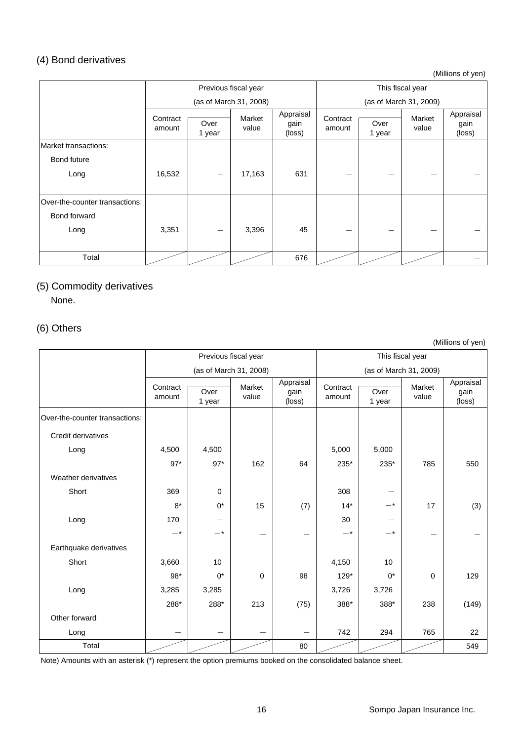## (4) Bond derivatives

(Millions of yen)

|                                | Previous fiscal year |                |                        |                             | This fiscal year   |                |                        |                             |
|--------------------------------|----------------------|----------------|------------------------|-----------------------------|--------------------|----------------|------------------------|-----------------------------|
|                                |                      |                | (as of March 31, 2008) |                             |                    |                | (as of March 31, 2009) |                             |
|                                | Contract<br>amount   | Over<br>1 year | Market<br>value        | Appraisal<br>gain<br>(loss) | Contract<br>amount | Over<br>1 year | Market<br>value        | Appraisal<br>gain<br>(loss) |
| Market transactions:           |                      |                |                        |                             |                    |                |                        |                             |
| <b>Bond future</b>             |                      |                |                        |                             |                    |                |                        |                             |
| Long                           | 16,532               |                | 17,163                 | 631                         | —                  |                |                        |                             |
| Over-the-counter transactions: |                      |                |                        |                             |                    |                |                        |                             |
| Bond forward                   |                      |                |                        |                             |                    |                |                        |                             |
| Long                           | 3,351                |                | 3,396                  | 45                          |                    |                |                        |                             |
|                                |                      |                |                        |                             |                    |                |                        |                             |
| Total                          |                      |                |                        | 676                         |                    |                |                        |                             |

# (5) Commodity derivatives

None.

# (6) Others

(Millions of yen)

|                                |                    |                        | Previous fiscal year |                             |                        |                | This fiscal year |                             |
|--------------------------------|--------------------|------------------------|----------------------|-----------------------------|------------------------|----------------|------------------|-----------------------------|
|                                |                    | (as of March 31, 2008) |                      |                             | (as of March 31, 2009) |                |                  |                             |
|                                | Contract<br>amount | Over<br>1 year         | Market<br>value      | Appraisal<br>gain<br>(loss) | Contract<br>amount     | Over<br>1 year | Market<br>value  | Appraisal<br>gain<br>(loss) |
| Over-the-counter transactions: |                    |                        |                      |                             |                        |                |                  |                             |
| Credit derivatives             |                    |                        |                      |                             |                        |                |                  |                             |
| Long                           | 4,500              | 4,500                  |                      |                             | 5,000                  | 5,000          |                  |                             |
|                                | $97*$              | $97*$                  | 162                  | 64                          | 235*                   | 235*           | 785              | 550                         |
| Weather derivatives            |                    |                        |                      |                             |                        |                |                  |                             |
| Short                          | 369                | $\mathbf 0$            |                      |                             | 308                    |                |                  |                             |
|                                | $8*$               | $0^*$                  | 15                   | (7)                         | $14*$                  | $ ^\star$      | 17               | (3)                         |
| Long                           | 170                |                        |                      |                             | 30                     |                |                  |                             |
|                                | $-*$               | $-*$                   |                      | --                          | $-*$                   | —*             |                  |                             |
| Earthquake derivatives         |                    |                        |                      |                             |                        |                |                  |                             |
| Short                          | 3,660              | 10                     |                      |                             | 4,150                  | 10             |                  |                             |
|                                | $98*$              | $0^*$                  | $\mathbf 0$          | 98                          | $129*$                 | $0^*$          | $\mathbf 0$      | 129                         |
| Long                           | 3,285              | 3,285                  |                      |                             | 3,726                  | 3,726          |                  |                             |
|                                | 288*               | 288*                   | 213                  | (75)                        | 388*                   | 388*           | 238              | (149)                       |
| Other forward                  |                    |                        |                      |                             |                        |                |                  |                             |
| Long                           |                    |                        |                      |                             | 742                    | 294            | 765              | 22                          |
| Total                          |                    |                        |                      | 80                          |                        |                |                  | 549                         |

Note) Amounts with an asterisk (\*) represent the option premiums booked on the consolidated balance sheet.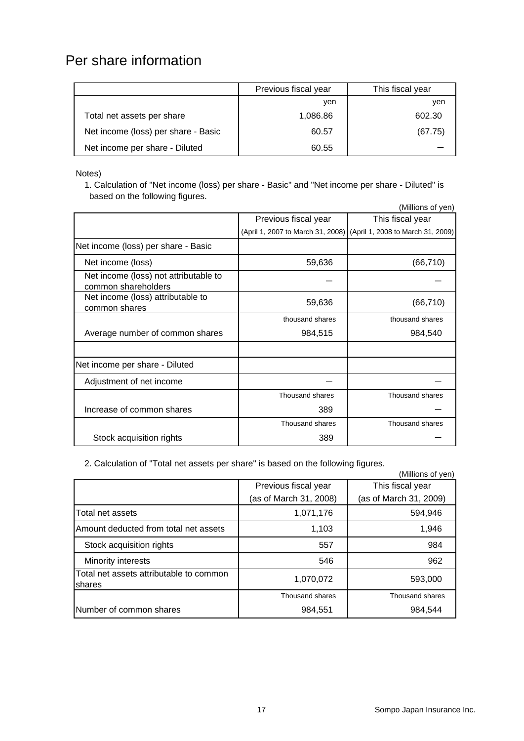# Per share information

|                                     | Previous fiscal year | This fiscal year |
|-------------------------------------|----------------------|------------------|
|                                     | ven                  | ven              |
| Total net assets per share          | 1,086.86             | 602.30           |
| Net income (loss) per share - Basic | 60.57                | (67.75)          |
| Net income per share - Diluted      | 60.55                |                  |

Notes)

1. Calculation of "Net income (loss) per share - Basic" and "Net income per share - Diluted" is based on the following figures.

|                                                              |                                   | (Millions of yen)                 |
|--------------------------------------------------------------|-----------------------------------|-----------------------------------|
|                                                              | Previous fiscal year              | This fiscal year                  |
|                                                              | (April 1, 2007 to March 31, 2008) | (April 1, 2008 to March 31, 2009) |
| Net income (loss) per share - Basic                          |                                   |                                   |
| Net income (loss)                                            | 59,636                            | (66, 710)                         |
| Net income (loss) not attributable to<br>common shareholders |                                   |                                   |
| Net income (loss) attributable to<br>common shares           | 59,636                            | (66, 710)                         |
|                                                              | thousand shares                   | thousand shares                   |
| Average number of common shares                              | 984,515                           | 984,540                           |
|                                                              |                                   |                                   |
| Net income per share - Diluted                               |                                   |                                   |
| Adjustment of net income                                     |                                   |                                   |
|                                                              | Thousand shares                   | Thousand shares                   |
| Increase of common shares                                    | 389                               |                                   |
|                                                              | Thousand shares                   | Thousand shares                   |
| Stock acquisition rights                                     | 389                               |                                   |

2. Calculation of "Total net assets per share" is based on the following figures.

|                                                   |                        | (Millions of yen)      |
|---------------------------------------------------|------------------------|------------------------|
|                                                   | Previous fiscal year   | This fiscal year       |
|                                                   | (as of March 31, 2008) | (as of March 31, 2009) |
| Total net assets                                  | 1,071,176              | 594,946                |
| Amount deducted from total net assets             | 1,103                  | 1,946                  |
| Stock acquisition rights                          | 557                    | 984                    |
| Minority interests                                | 546                    | 962                    |
| Total net assets attributable to common<br>shares | 1,070,072              | 593,000                |
|                                                   | Thousand shares        | Thousand shares        |
| Number of common shares                           | 984,551                | 984,544                |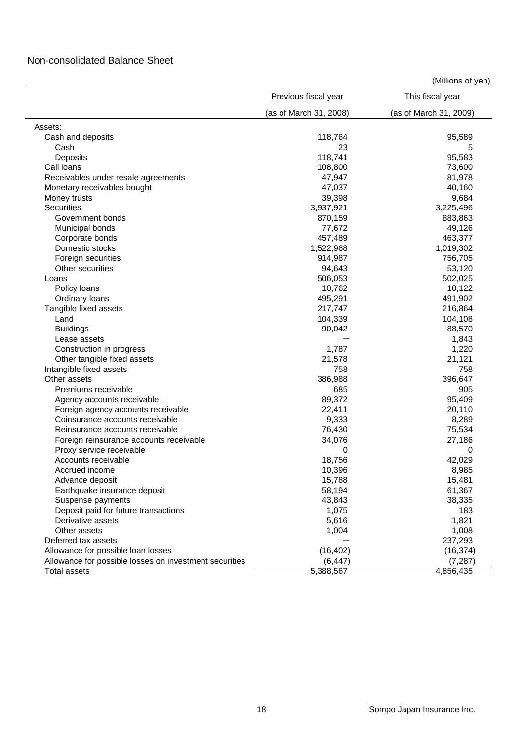## Non-consolidated Balance Sheet

|                                                                    | Previous fiscal year   | This fiscal year       |
|--------------------------------------------------------------------|------------------------|------------------------|
|                                                                    | (as of March 31, 2008) | (as of March 31, 2009) |
| Assets:                                                            |                        |                        |
| Cash and deposits                                                  | 118,764                | 95,589                 |
| Cash                                                               | 23                     | 5                      |
| Deposits                                                           | 118,741                | 95,583                 |
| Call loans                                                         | 108,800                | 73,600                 |
| Receivables under resale agreements                                | 47,947                 | 81,978                 |
| Monetary receivables bought                                        | 47,037                 | 40,160                 |
| Money trusts                                                       | 39,398                 | 9,684                  |
| Securities                                                         | 3,937,921              | 3,225,496              |
| Government bonds                                                   | 870,159                | 883,863                |
| Municipal bonds                                                    | 77,672                 | 49,126                 |
| Corporate bonds                                                    | 457,489                | 463,377                |
| Domestic stocks                                                    | 1,522,968              | 1,019,302              |
| Foreign securities                                                 | 914,987                | 756,705                |
| Other securities                                                   | 94,643                 | 53,120                 |
| Loans                                                              | 506,053                | 502,025                |
| Policy loans                                                       | 10,762                 | 10,122                 |
| Ordinary loans                                                     | 495,291                | 491,902                |
| Tangible fixed assets                                              | 217,747                | 216,864                |
| Land                                                               | 104,339                | 104,108                |
| <b>Buildings</b>                                                   | 90,042                 | 88,570                 |
| Lease assets                                                       |                        | 1,843                  |
| Construction in progress                                           | 1,787                  | 1,220                  |
| Other tangible fixed assets                                        | 21,578                 | 21,121                 |
| Intangible fixed assets                                            | 758                    | 758                    |
| Other assets                                                       | 386,988                | 396,647                |
| Premiums receivable                                                | 685                    | 905                    |
|                                                                    | 89,372                 | 95,409                 |
| Agency accounts receivable<br>Foreign agency accounts receivable   | 22,411                 | 20,110                 |
|                                                                    |                        | 8,289                  |
| Coinsurance accounts receivable<br>Reinsurance accounts receivable | 9,333                  |                        |
|                                                                    | 76,430                 | 75,534                 |
| Foreign reinsurance accounts receivable                            | 34,076<br>0            | 27,186<br>0            |
| Proxy service receivable<br>Accounts receivable                    | 18,756                 | 42,029                 |
|                                                                    | 10,396                 |                        |
| Accrued income                                                     |                        | 8,985                  |
| Advance deposit                                                    | 15,788                 | 15,481                 |
| Earthquake insurance deposit                                       | 58,194                 | 61,367                 |
| Suspense payments                                                  | 43,843                 | 38,335                 |
| Deposit paid for future transactions                               | 1,075                  | 183                    |
| Derivative assets                                                  | 5,616                  | 1,821                  |
| Other assets                                                       | 1,004                  | 1,008                  |
| Deferred tax assets                                                |                        | 237,293                |
| Allowance for possible loan losses                                 | (16, 402)              | (16, 374)              |
| Allowance for possible losses on investment securities             | (6, 447)               | (7, 287)               |
| <b>Total assets</b>                                                | 5,388,567              | 4,856,435              |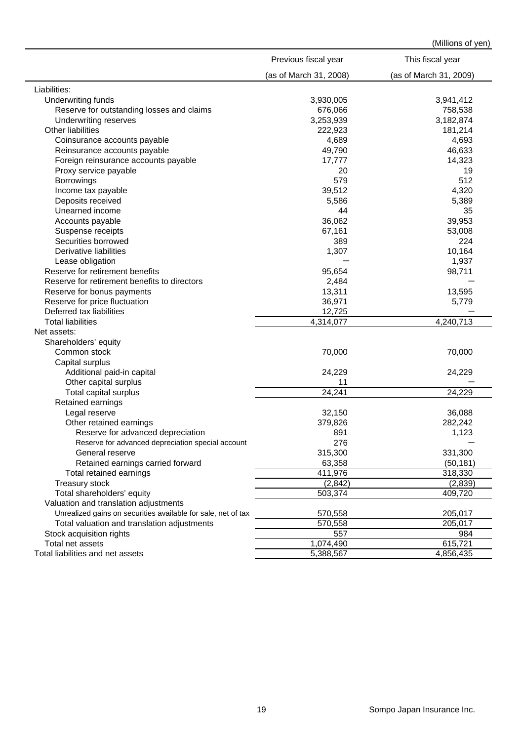|                                                               | Previous fiscal year   | This fiscal year       |
|---------------------------------------------------------------|------------------------|------------------------|
|                                                               | (as of March 31, 2008) | (as of March 31, 2009) |
| Liabilities:                                                  |                        |                        |
| Underwriting funds                                            | 3,930,005              | 3,941,412              |
| Reserve for outstanding losses and claims                     | 676,066                | 758,538                |
| Underwriting reserves                                         | 3,253,939              | 3,182,874              |
| Other liabilities                                             | 222,923                | 181,214                |
| Coinsurance accounts payable                                  | 4,689                  | 4,693                  |
| Reinsurance accounts payable                                  | 49,790                 | 46,633                 |
| Foreign reinsurance accounts payable                          | 17,777                 | 14,323                 |
| Proxy service payable                                         | 20                     | 19                     |
| <b>Borrowings</b>                                             | 579                    | 512                    |
| Income tax payable                                            | 39,512                 | 4,320                  |
| Deposits received                                             | 5,586                  | 5,389                  |
| Unearned income                                               | 44                     | 35                     |
| Accounts payable                                              | 36,062                 | 39,953                 |
| Suspense receipts                                             | 67,161                 | 53,008                 |
| Securities borrowed                                           | 389                    | 224                    |
| Derivative liabilities                                        | 1,307                  | 10,164                 |
| Lease obligation                                              |                        | 1,937                  |
| Reserve for retirement benefits                               | 95,654                 | 98,711                 |
| Reserve for retirement benefits to directors                  | 2,484                  |                        |
| Reserve for bonus payments                                    | 13,311                 | 13,595                 |
| Reserve for price fluctuation                                 | 36,971                 | 5,779                  |
| Deferred tax liabilities                                      | 12,725                 |                        |
| <b>Total liabilities</b>                                      | 4,314,077              | 4,240,713              |
| Net assets:                                                   |                        |                        |
| Shareholders' equity                                          |                        |                        |
| Common stock                                                  | 70,000                 | 70,000                 |
| Capital surplus                                               |                        |                        |
| Additional paid-in capital                                    | 24,229                 | 24,229                 |
| Other capital surplus                                         | 11                     |                        |
| Total capital surplus                                         | 24,241                 | 24,229                 |
| Retained earnings                                             |                        |                        |
| Legal reserve                                                 | 32,150                 | 36,088                 |
| Other retained earnings                                       | 379,826                | 282,242                |
| Reserve for advanced depreciation                             | 891                    | 1,123                  |
| Reserve for advanced depreciation special account             | 276                    |                        |
| General reserve                                               | 315,300                | 331,300                |
| Retained earnings carried forward                             | 63,358                 | (50, 181)              |
| Total retained earnings                                       | 411,976                | 318,330                |
|                                                               | (2, 842)               | (2,839)                |
| Treasury stock<br>Total shareholders' equity                  | 503,374                | 409,720                |
|                                                               |                        |                        |
| Valuation and translation adjustments                         |                        |                        |
| Unrealized gains on securities available for sale, net of tax | 570,558                | 205,017                |
| Total valuation and translation adjustments                   | 570,558                | 205,017                |
| Stock acquisition rights                                      | 557                    | 984                    |
| Total net assets                                              | 1,074,490              | 615,721                |
| Total liabilities and net assets                              | 5,388,567              | 4,856,435              |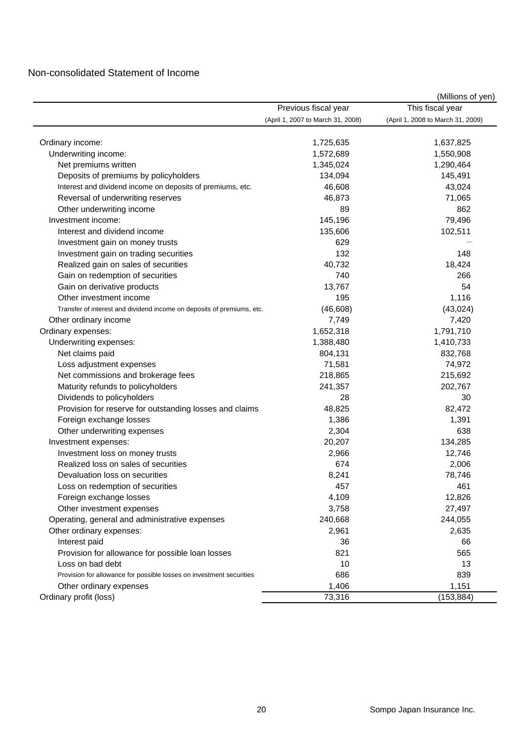## Non-consolidated Statement of Income

|                                                                        |                                   | (Millions of yen)                 |
|------------------------------------------------------------------------|-----------------------------------|-----------------------------------|
|                                                                        | Previous fiscal year              | This fiscal year                  |
|                                                                        | (April 1, 2007 to March 31, 2008) | (April 1, 2008 to March 31, 2009) |
| Ordinary income:                                                       | 1,725,635                         | 1,637,825                         |
| Underwriting income:                                                   | 1,572,689                         | 1,550,908                         |
| Net premiums written                                                   | 1,345,024                         | 1,290,464                         |
| Deposits of premiums by policyholders                                  | 134,094                           | 145,491                           |
| Interest and dividend income on deposits of premiums, etc.             | 46,608                            | 43,024                            |
| Reversal of underwriting reserves                                      | 46,873                            | 71,065                            |
| Other underwriting income                                              | 89                                | 862                               |
| Investment income:                                                     | 145,196                           | 79,496                            |
| Interest and dividend income                                           | 135,606                           | 102,511                           |
| Investment gain on money trusts                                        | 629                               |                                   |
| Investment gain on trading securities                                  | 132                               | 148                               |
| Realized gain on sales of securities                                   | 40,732                            | 18,424                            |
| Gain on redemption of securities                                       | 740                               | 266                               |
| Gain on derivative products                                            | 13,767                            | 54                                |
| Other investment income                                                | 195                               | 1,116                             |
| Transfer of interest and dividend income on deposits of premiums, etc. | (46, 608)                         | (43, 024)                         |
|                                                                        | 7,749                             | 7,420                             |
| Other ordinary income                                                  | 1,652,318                         | 1,791,710                         |
| Ordinary expenses:<br>Underwriting expenses:                           | 1,388,480                         | 1,410,733                         |
|                                                                        |                                   |                                   |
| Net claims paid                                                        | 804,131<br>71,581                 | 832,768                           |
| Loss adjustment expenses                                               |                                   | 74,972                            |
| Net commissions and brokerage fees                                     | 218,865                           | 215,692                           |
| Maturity refunds to policyholders                                      | 241,357                           | 202,767                           |
| Dividends to policyholders                                             | 28                                | 30                                |
| Provision for reserve for outstanding losses and claims                | 48,825                            | 82,472                            |
| Foreign exchange losses                                                | 1,386                             | 1,391                             |
| Other underwriting expenses                                            | 2,304                             | 638                               |
| Investment expenses:                                                   | 20,207                            | 134,285                           |
| Investment loss on money trusts                                        | 2,966                             | 12,746                            |
| Realized loss on sales of securities                                   | 674                               | 2,006                             |
| Devaluation loss on securities                                         | 8,241                             | 78,746                            |
| Loss on redemption of securities                                       | 457                               | 461                               |
| Foreign exchange losses                                                | 4,109                             | 12,826                            |
| Other investment expenses                                              | 3,758                             | 27,497                            |
| Operating, general and administrative expenses                         | 240,668                           | 244,055                           |
| Other ordinary expenses:                                               | 2,961                             | 2,635                             |
| Interest paid                                                          | 36                                | 66                                |
| Provision for allowance for possible loan losses                       | 821                               | 565                               |
| Loss on bad debt                                                       | 10                                | 13                                |
| Provision for allowance for possible losses on investment securities   | 686                               | 839                               |
| Other ordinary expenses                                                | 1,406                             | 1,151                             |
| Ordinary profit (loss)                                                 | 73,316                            | (153, 884)                        |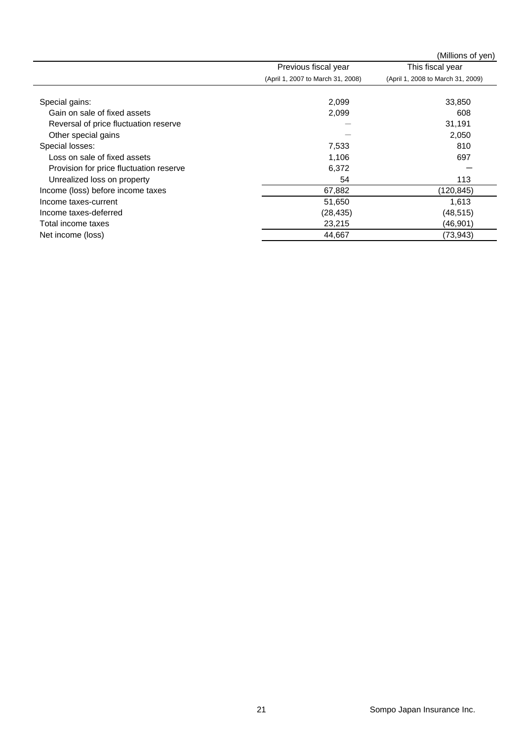|                                         |                                   | (Millions of yen)                 |
|-----------------------------------------|-----------------------------------|-----------------------------------|
|                                         | Previous fiscal year              | This fiscal year                  |
|                                         | (April 1, 2007 to March 31, 2008) | (April 1, 2008 to March 31, 2009) |
|                                         |                                   |                                   |
| Special gains:                          | 2,099                             | 33,850                            |
| Gain on sale of fixed assets            | 2,099                             | 608                               |
| Reversal of price fluctuation reserve   |                                   | 31,191                            |
| Other special gains                     |                                   | 2,050                             |
| Special losses:                         | 7,533                             | 810                               |
| Loss on sale of fixed assets            | 1,106                             | 697                               |
| Provision for price fluctuation reserve | 6,372                             |                                   |
| Unrealized loss on property             | 54                                | 113                               |
| Income (loss) before income taxes       | 67,882                            | (120, 845)                        |
| Income taxes-current                    | 51,650                            | 1,613                             |
| Income taxes-deferred                   | (28, 435)                         | (48, 515)                         |
| Total income taxes                      | 23,215                            | (46, 901)                         |
| Net income (loss)                       | 44,667                            | (73, 943)                         |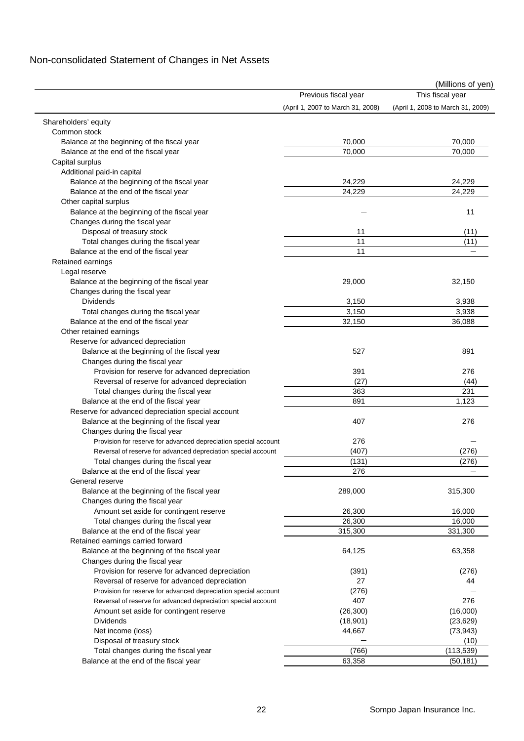# Non-consolidated Statement of Changes in Net Assets

|                                                                 |                                   | (Millions of yen)                 |
|-----------------------------------------------------------------|-----------------------------------|-----------------------------------|
|                                                                 | Previous fiscal year              | This fiscal year                  |
|                                                                 | (April 1, 2007 to March 31, 2008) | (April 1, 2008 to March 31, 2009) |
| Shareholders' equity                                            |                                   |                                   |
| Common stock                                                    |                                   |                                   |
| Balance at the beginning of the fiscal year                     | 70,000                            | 70,000                            |
| Balance at the end of the fiscal year                           | 70,000                            | 70,000                            |
| Capital surplus                                                 |                                   |                                   |
| Additional paid-in capital                                      |                                   |                                   |
| Balance at the beginning of the fiscal year                     | 24,229                            | 24,229                            |
| Balance at the end of the fiscal year                           | 24,229                            | 24,229                            |
| Other capital surplus                                           |                                   |                                   |
| Balance at the beginning of the fiscal year                     |                                   | 11                                |
| Changes during the fiscal year                                  |                                   |                                   |
| Disposal of treasury stock                                      | 11                                | (11)                              |
| Total changes during the fiscal year                            | 11                                | (11)                              |
| Balance at the end of the fiscal year                           | 11                                |                                   |
| Retained earnings                                               |                                   |                                   |
| Legal reserve                                                   |                                   |                                   |
| Balance at the beginning of the fiscal year                     | 29,000                            | 32,150                            |
| Changes during the fiscal year                                  |                                   |                                   |
| <b>Dividends</b>                                                | 3,150                             | 3,938                             |
| Total changes during the fiscal year                            | 3,150                             | 3,938                             |
| Balance at the end of the fiscal year                           | 32,150                            | 36,088                            |
| Other retained earnings                                         |                                   |                                   |
| Reserve for advanced depreciation                               |                                   |                                   |
| Balance at the beginning of the fiscal year                     | 527                               | 891                               |
| Changes during the fiscal year                                  |                                   |                                   |
| Provision for reserve for advanced depreciation                 | 391                               | 276                               |
| Reversal of reserve for advanced depreciation                   | (27)                              | (44)                              |
| Total changes during the fiscal year                            | 363                               | 231                               |
| Balance at the end of the fiscal year                           | 891                               | 1,123                             |
| Reserve for advanced depreciation special account               |                                   |                                   |
| Balance at the beginning of the fiscal year                     | 407                               | 276                               |
| Changes during the fiscal year                                  |                                   |                                   |
| Provision for reserve for advanced depreciation special account | 276                               |                                   |
| Reversal of reserve for advanced depreciation special account   | (407)                             | (276)                             |
| Total changes during the fiscal year                            | (131)                             | (276)                             |
| Balance at the end of the fiscal year                           | 276                               |                                   |
| General reserve                                                 |                                   |                                   |
| Balance at the beginning of the fiscal year                     | 289,000                           | 315,300                           |
| Changes during the fiscal year                                  |                                   |                                   |
| Amount set aside for contingent reserve                         | 26,300                            | 16,000                            |
|                                                                 | 26,300                            | 16,000                            |
| Total changes during the fiscal year                            | 315,300                           | 331,300                           |
| Balance at the end of the fiscal year                           |                                   |                                   |
| Retained earnings carried forward                               |                                   |                                   |
| Balance at the beginning of the fiscal year                     | 64,125                            | 63,358                            |
| Changes during the fiscal year                                  |                                   |                                   |
| Provision for reserve for advanced depreciation                 | (391)                             | (276)                             |
| Reversal of reserve for advanced depreciation                   | 27                                | 44                                |
| Provision for reserve for advanced depreciation special account | (276)                             |                                   |
| Reversal of reserve for advanced depreciation special account   | 407                               | 276                               |
| Amount set aside for contingent reserve                         | (26, 300)                         | (16,000)                          |
| Dividends                                                       | (18,901)                          | (23, 629)                         |
| Net income (loss)                                               | 44,667                            | (73, 943)                         |
| Disposal of treasury stock                                      |                                   | (10)                              |
| Total changes during the fiscal year                            | (766)                             | (113, 539)                        |
| Balance at the end of the fiscal year                           | 63,358                            | (50, 181)                         |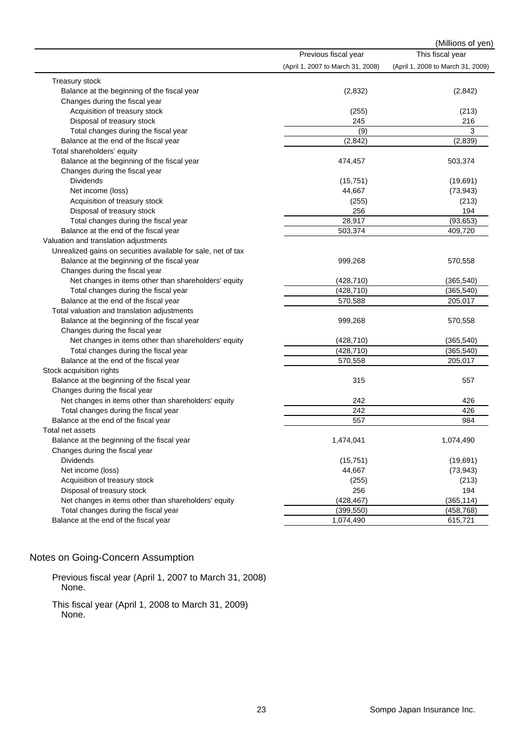|                                                               |                                   | (Millions of yen)                 |
|---------------------------------------------------------------|-----------------------------------|-----------------------------------|
|                                                               | Previous fiscal year              | This fiscal year                  |
|                                                               | (April 1, 2007 to March 31, 2008) | (April 1, 2008 to March 31, 2009) |
| Treasury stock                                                |                                   |                                   |
| Balance at the beginning of the fiscal year                   | (2,832)                           | (2, 842)                          |
| Changes during the fiscal year                                |                                   |                                   |
| Acquisition of treasury stock                                 | (255)                             | (213)                             |
| Disposal of treasury stock                                    | 245                               | 216                               |
| Total changes during the fiscal year                          | (9)                               | 3                                 |
| Balance at the end of the fiscal year                         | (2, 842)                          | (2,839)                           |
| Total shareholders' equity                                    |                                   |                                   |
| Balance at the beginning of the fiscal year                   | 474,457                           | 503,374                           |
| Changes during the fiscal year                                |                                   |                                   |
| <b>Dividends</b>                                              | (15, 751)                         | (19,691)                          |
| Net income (loss)                                             | 44,667                            | (73, 943)                         |
| Acquisition of treasury stock                                 | (255)                             | (213)                             |
| Disposal of treasury stock                                    | 256                               | 194                               |
| Total changes during the fiscal year                          | 28,917                            | (93, 653)                         |
| Balance at the end of the fiscal year                         | 503,374                           | 409,720                           |
| Valuation and translation adjustments                         |                                   |                                   |
| Unrealized gains on securities available for sale, net of tax |                                   |                                   |
| Balance at the beginning of the fiscal year                   | 999,268                           | 570,558                           |
| Changes during the fiscal year                                |                                   |                                   |
| Net changes in items other than shareholders' equity          | (428, 710)                        | (365, 540)                        |
| Total changes during the fiscal year                          | (428, 710)                        | (365, 540)                        |
| Balance at the end of the fiscal year                         | 570,588                           | 205,017                           |
| Total valuation and translation adjustments                   |                                   |                                   |
| Balance at the beginning of the fiscal year                   | 999,268                           | 570,558                           |
| Changes during the fiscal year                                |                                   |                                   |
| Net changes in items other than shareholders' equity          | (428, 710)                        | (365, 540)                        |
| Total changes during the fiscal year                          | (428, 710)                        | (365, 540)                        |
| Balance at the end of the fiscal year                         | 570,558                           | 205,017                           |
| Stock acquisition rights                                      |                                   |                                   |
| Balance at the beginning of the fiscal year                   | 315                               | 557                               |
| Changes during the fiscal year                                |                                   |                                   |
| Net changes in items other than shareholders' equity          | 242                               | 426                               |
| Total changes during the fiscal year                          | 242                               | 426                               |
| Balance at the end of the fiscal year                         | 557                               | 984                               |
| Total net assets                                              |                                   |                                   |
| Balance at the beginning of the fiscal year                   | 1,474,041                         | 1,074,490                         |
| Changes during the fiscal year                                |                                   |                                   |
| <b>Dividends</b>                                              | (15, 751)                         | (19,691)                          |
| Net income (loss)                                             | 44,667                            | (73, 943)                         |
| Acquisition of treasury stock                                 | (255)                             | (213)                             |
| Disposal of treasury stock                                    | 256                               | 194                               |
| Net changes in items other than shareholders' equity          | (428, 467)                        | (365, 114)                        |
| Total changes during the fiscal year                          | (399, 550)                        | (458, 768)                        |
|                                                               |                                   |                                   |
| Balance at the end of the fiscal year                         | 1,074,490                         | 615,721                           |

# Notes on Going-Concern Assumption

Previous fiscal year (April 1, 2007 to March 31, 2008) None.

This fiscal year (April 1, 2008 to March 31, 2009) None.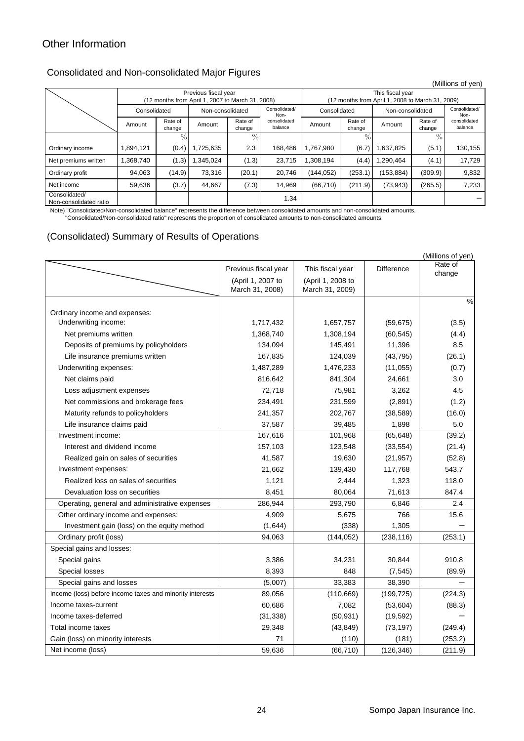# Other Information

## Consolidated and Non-consolidated Major Figures

|                                         |                                                                                                               |                   |           |                   |                                                                      |                  |                   |                       |                   | (Millions of yen)       |
|-----------------------------------------|---------------------------------------------------------------------------------------------------------------|-------------------|-----------|-------------------|----------------------------------------------------------------------|------------------|-------------------|-----------------------|-------------------|-------------------------|
|                                         | Previous fiscal year                                                                                          |                   |           |                   | This fiscal year<br>(12 months from April 1, 2008 to March 31, 2009) |                  |                   |                       |                   |                         |
|                                         | (12 months from April 1, 2007 to March 31, 2008)<br>Consolidated/<br>Consolidated<br>Non-consolidated<br>Non- |                   |           | Consolidated      |                                                                      | Non-consolidated |                   | Consolidated/<br>Non- |                   |                         |
|                                         | Amount                                                                                                        | Rate of<br>change | Amount    | Rate of<br>change | consolidated<br>balance                                              | Amount           | Rate of<br>change | Amount                | Rate of<br>change | consolidated<br>balance |
|                                         |                                                                                                               | $\frac{0}{0}$     |           | $\%$ .            |                                                                      |                  | $\frac{0}{6}$     |                       | $\%$              |                         |
| Ordinary income                         | ,894,121                                                                                                      | (0.4)             | 1,725,635 | 2.3               | 168.486                                                              | 1,767,980        | (6.7)             | .637,825              | (5.1)             | 130,155                 |
| Net premiums written                    | .368,740                                                                                                      | (1.3)             | ,345,024  | (1.3)             | 23.715                                                               | .308.194         | (4.4)             | ,290,464              | (4.1)             | 17,729                  |
| Ordinary profit                         | 94,063                                                                                                        | (14.9)            | 73,316    | (20.1)            | 20,746                                                               | (144,052)        | (253.1)           | (153, 884)            | (309.9)           | 9,832                   |
| Net income                              | 59,636                                                                                                        | (3.7)             | 44,667    | (7.3)             | 14.969                                                               | (66, 710)        | (211.9)           | (73, 943)             | (265.5)           | 7,233                   |
| Consolidated/<br>Non-consolidated ratio |                                                                                                               |                   |           |                   | 1.34                                                                 |                  |                   |                       |                   |                         |

Note) "Consolidated/Non-consolidated balance" represents the difference between consolidated amounts and non-consolidated amounts.

"Consolidated/Non-consolidated ratio" represents the proportion of consolidated amounts to non-consolidated amounts.

### (Consolidated) Summary of Results of Operations

|                                                          |                      |                   |                   | (Millions of yen) |
|----------------------------------------------------------|----------------------|-------------------|-------------------|-------------------|
|                                                          | Previous fiscal year | This fiscal year  | <b>Difference</b> | Rate of<br>change |
|                                                          | (April 1, 2007 to    | (April 1, 2008 to |                   |                   |
|                                                          | March 31, 2008)      | March 31, 2009)   |                   |                   |
|                                                          |                      |                   |                   | %                 |
| Ordinary income and expenses:                            |                      |                   |                   |                   |
| Underwriting income:                                     | 1,717,432            | 1,657,757         | (59, 675)         | (3.5)             |
| Net premiums written                                     | 1,368,740            | 1,308,194         | (60, 545)         | (4.4)             |
| Deposits of premiums by policyholders                    | 134,094              | 145,491           | 11,396            | 8.5               |
| Life insurance premiums written                          | 167,835              | 124,039           | (43, 795)         | (26.1)            |
| Underwriting expenses:                                   | 1,487,289            | 1,476,233         | (11, 055)         | (0.7)             |
| Net claims paid                                          | 816,642              | 841,304           | 24,661            | 3.0               |
| Loss adjustment expenses                                 | 72,718               | 75,981            | 3,262             | 4.5               |
| Net commissions and brokerage fees                       | 234,491              | 231,599           | (2,891)           | (1.2)             |
| Maturity refunds to policyholders                        | 241,357              | 202,767           | (38, 589)         | (16.0)            |
| Life insurance claims paid                               | 37,587               | 39,485            | 1,898             | 5.0               |
| Investment income:                                       | 167,616              | 101,968           | (65, 648)         | (39.2)            |
| Interest and dividend income                             | 157,103              | 123,548           | (33, 554)         | (21.4)            |
| Realized gain on sales of securities                     | 41,587               | 19,630            | (21, 957)         | (52.8)            |
| Investment expenses:                                     | 21,662               | 139,430           | 117,768           | 543.7             |
| Realized loss on sales of securities                     | 1,121                | 2,444             | 1,323             | 118.0             |
| Devaluation loss on securities                           | 8,451                | 80,064            | 71,613            | 847.4             |
| Operating, general and administrative expenses           | 286,944              | 293,790           | 6,846             | 2.4               |
| Other ordinary income and expenses:                      | 4,909                | 5,675             | 766               | 15.6              |
| Investment gain (loss) on the equity method              | (1,644)              | (338)             | 1,305             |                   |
| Ordinary profit (loss)                                   | 94,063               | (144, 052)        | (238, 116)        | (253.1)           |
| Special gains and losses:                                |                      |                   |                   |                   |
| Special gains                                            | 3,386                | 34,231            | 30,844            | 910.8             |
| Special losses                                           | 8,393                | 848               | (7, 545)          | (89.9)            |
| Special gains and losses                                 | (5,007)              | 33,383            | 38,390            |                   |
| Income (loss) before income taxes and minority interests | 89,056               | (110, 669)        | (199, 725)        | (224.3)           |
| Income taxes-current                                     | 60,686               | 7,082             | (53, 604)         | (88.3)            |
| Income taxes-deferred                                    | (31, 338)            | (50, 931)         | (19, 592)         |                   |
| Total income taxes                                       | 29,348               | (43, 849)         | (73, 197)         | (249.4)           |
| Gain (loss) on minority interests                        | 71                   | (110)             | (181)             | (253.2)           |
| Net income (loss)                                        | 59,636               | (66, 710)         | (126, 346)        | (211.9)           |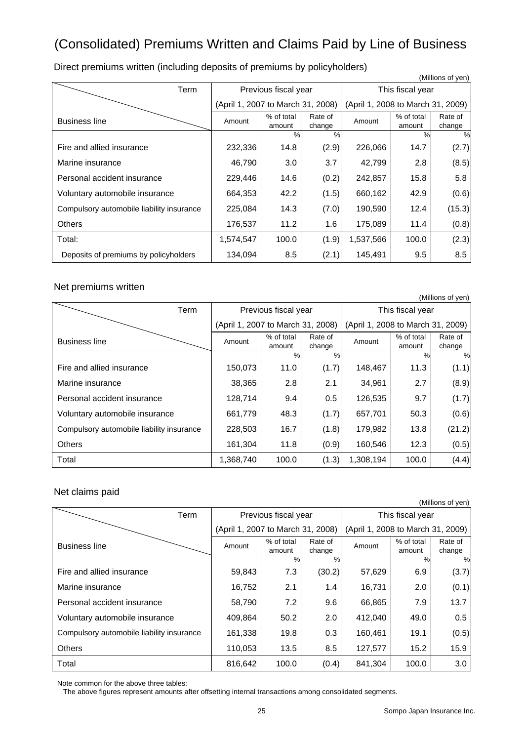# (Consolidated) Premiums Written and Claims Paid by Line of Business

 (Millions of yen) Term | Previous fiscal year | This fiscal year (April 1, 2007 to March 31, 2008) (April 1, 2008 to March 31, 2009) Business line **Amount** % of total amount Rate of Rate of <br>
change Amount <br>
Amount <br>  $\begin{array}{c} \n\% \text{ of total} \\ \text{amount} \n\end{array}$ amount Rate of change %% %% Fire and allied insurance 232,336 14.8 (2.9) 226,066 14.7 (2.7) Marine insurance 46,790 3.0 3.7 42,799 2.8 (8.5) Personal accident insurance 229,446 14.6 (0.2) 242,857 15.8 5.8 Voluntary automobile insurance  $(664,353 \mid 42.2 \mid (1.5) \mid 660,162 \mid 42.9 \mid (0.6)$ Compulsory automobile liability insurance  $\begin{vmatrix} 225,084 & 14.3 & (7.0) & 190,590 & 12.4 \end{vmatrix}$  (15.3) Others 176,537 11.2 1.6 175,089 11.4 (0.8) Total: 1,574,547 100.0 (1.9) 1,537,566 100.0 (2.3) Deposits of premiums by policyholders 134,094 8.5 (2.1) 145,491 9.5 8.5

Direct premiums written (including deposits of premiums by policyholders)

### Net premiums written

|                                           |                                   |                      |                   |                                   |                      | (Millions of yen) |
|-------------------------------------------|-----------------------------------|----------------------|-------------------|-----------------------------------|----------------------|-------------------|
| Term                                      |                                   | Previous fiscal year |                   | This fiscal year                  |                      |                   |
|                                           | (April 1, 2007 to March 31, 2008) |                      |                   | (April 1, 2008 to March 31, 2009) |                      |                   |
| <b>Business line</b>                      | Amount                            | % of total<br>amount | Rate of<br>change | Amount                            | % of total<br>amount | Rate of<br>change |
|                                           |                                   | %                    | $\%$              |                                   | $\frac{0}{0}$        | %                 |
| Fire and allied insurance                 | 150,073                           | 11.0                 | (1.7)             | 148,467                           | 11.3                 | (1.1)             |
| Marine insurance                          | 38,365                            | 2.8                  | 2.1               | 34,961                            | 2.7                  | (8.9)             |
| Personal accident insurance               | 128,714                           | 9.4                  | 0.5               | 126,535                           | 9.7                  | (1.7)             |
| Voluntary automobile insurance            | 661,779                           | 48.3                 | (1.7)             | 657,701                           | 50.3                 | (0.6)             |
| Compulsory automobile liability insurance | 228,503                           | 16.7                 | (1.8)             | 179,982                           | 13.8                 | (21.2)            |
| <b>Others</b>                             | 161,304                           | 11.8                 | (0.9)             | 160,546                           | 12.3                 | (0.5)             |
| Total                                     | 1,368,740                         | 100.0                | (1.3)             | 1,308,194                         | 100.0                | (4.4)             |

### Net claims paid

| (Millions of yen)                         |                                   |                      |                   |                                   |                      |                   |  |
|-------------------------------------------|-----------------------------------|----------------------|-------------------|-----------------------------------|----------------------|-------------------|--|
| Term                                      | Previous fiscal year              |                      |                   | This fiscal year                  |                      |                   |  |
|                                           | (April 1, 2007 to March 31, 2008) |                      |                   | (April 1, 2008 to March 31, 2009) |                      |                   |  |
| <b>Business line</b>                      | Amount                            | % of total<br>amount | Rate of<br>change | Amount                            | % of total<br>amount | Rate of<br>change |  |
|                                           |                                   | $\frac{0}{0}$        | $\%$              |                                   | $\%$                 | %                 |  |
| Fire and allied insurance                 | 59,843                            | 7.3                  | (30.2)            | 57,629                            | 6.9                  | (3.7)             |  |
| Marine insurance                          | 16,752                            | 2.1                  | 1.4               | 16,731                            | 2.0                  | (0.1)             |  |
| Personal accident insurance               | 58,790                            | 7.2                  | 9.6               | 66,865                            | 7.9                  | 13.7              |  |
| Voluntary automobile insurance            | 409,864                           | 50.2                 | 2.0               | 412,040                           | 49.0                 | 0.5               |  |
| Compulsory automobile liability insurance | 161,338                           | 19.8                 | 0.3               | 160,461                           | 19.1                 | (0.5)             |  |
| <b>Others</b>                             | 110,053                           | 13.5                 | 8.5               | 127.577                           | 15.2                 | 15.9              |  |
| Total                                     | 816,642                           | 100.0                | (0.4)             | 841.304                           | 100.0                | 3.0               |  |

Note common for the above three tables:

The above figures represent amounts after offsetting internal transactions among consolidated segments.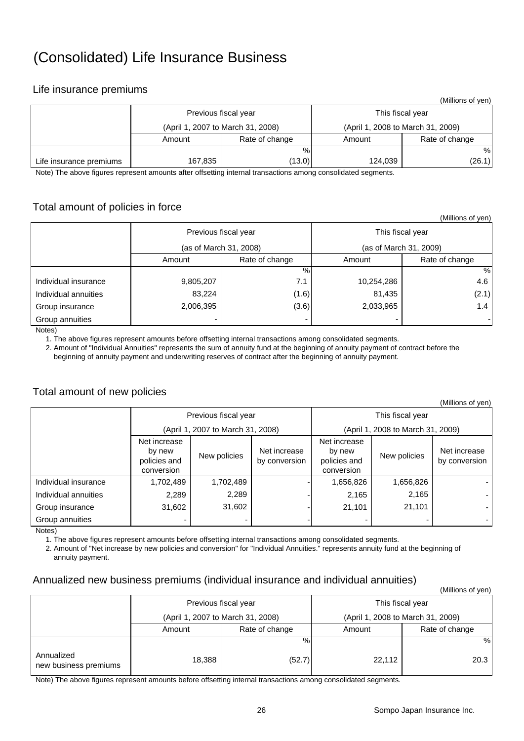# (Consolidated) Life Insurance Business

## Life insurance premiums

|                         |                                   |                |                                   | (Millions of yen) |  |  |
|-------------------------|-----------------------------------|----------------|-----------------------------------|-------------------|--|--|
|                         | Previous fiscal year              |                | This fiscal year                  |                   |  |  |
|                         | (April 1, 2007 to March 31, 2008) |                | (April 1, 2008 to March 31, 2009) |                   |  |  |
|                         | Amount                            | Rate of change | Amount                            | Rate of change    |  |  |
|                         |                                   | %              |                                   | %                 |  |  |
| Life insurance premiums | 167,835                           | (13.0)         | 124.039                           | (26.1)            |  |  |

Note) The above figures represent amounts after offsetting internal transactions among consolidated segments.

## Total amount of policies in force

|                      |                        |                |                  | (Millions of yen)      |  |  |
|----------------------|------------------------|----------------|------------------|------------------------|--|--|
|                      | Previous fiscal year   |                | This fiscal year |                        |  |  |
|                      | (as of March 31, 2008) |                |                  | (as of March 31, 2009) |  |  |
|                      | Amount                 | Rate of change | Amount           | Rate of change         |  |  |
|                      |                        | %              |                  | %                      |  |  |
| Individual insurance | 9,805,207              | 7.1            | 10,254,286       | 4.6                    |  |  |
| Individual annuities | 83,224                 | (1.6)          | 81,435           | (2.1)                  |  |  |
| Group insurance      | 2,006,395              | (3.6)          | 2,033,965        | 1.4                    |  |  |
| Group annuities      |                        |                |                  |                        |  |  |

Notes)

1. The above figures represent amounts before offsetting internal transactions among consolidated segments.

 2. Amount of "Individual Annuities" represents the sum of annuity fund at the beginning of annuity payment of contract before the beginning of annuity payment and underwriting reserves of contract after the beginning of annuity payment.

### Total amount of new policies

| (Millions of yen)    |                                                      |              |                               |                                                      |              |                               |  |  |
|----------------------|------------------------------------------------------|--------------|-------------------------------|------------------------------------------------------|--------------|-------------------------------|--|--|
|                      | Previous fiscal year                                 |              |                               | This fiscal year                                     |              |                               |  |  |
|                      | (April 1, 2007 to March 31, 2008)                    |              |                               | (April 1, 2008 to March 31, 2009)                    |              |                               |  |  |
|                      | Net increase<br>by new<br>policies and<br>conversion | New policies | Net increase<br>by conversion | Net increase<br>by new<br>policies and<br>conversion | New policies | Net increase<br>by conversion |  |  |
| Individual insurance | 1,702,489                                            | 1,702,489    |                               | 1,656,826                                            | 1,656,826    |                               |  |  |
| Individual annuities | 2,289                                                | 2,289        |                               | 2,165                                                | 2,165        |                               |  |  |
| Group insurance      | 31,602                                               | 31,602       |                               | 21,101                                               | 21,101       |                               |  |  |
| Group annuities      |                                                      |              |                               |                                                      |              |                               |  |  |

Notes)

1. The above figures represent amounts before offsetting internal transactions among consolidated segments.

 2. Amount of "Net increase by new policies and conversion" for "Individual Annuities." represents annuity fund at the beginning of annuity payment.

### Annualized new business premiums (individual insurance and individual annuities)

|                                     |                          |                                   |                  | , ווט א וט טווטווויווי            |  |
|-------------------------------------|--------------------------|-----------------------------------|------------------|-----------------------------------|--|
|                                     |                          | Previous fiscal year              | This fiscal year |                                   |  |
|                                     |                          | (April 1, 2007 to March 31, 2008) |                  | (April 1, 2008 to March 31, 2009) |  |
|                                     | Rate of change<br>Amount |                                   | Amount           | Rate of change                    |  |
|                                     |                          | %                                 |                  | %                                 |  |
| Annualized<br>new business premiums | 18,388                   | (52.7)                            | 22,112           | 20.3                              |  |

Note) The above figures represent amounts before offsetting internal transactions among consolidated segments.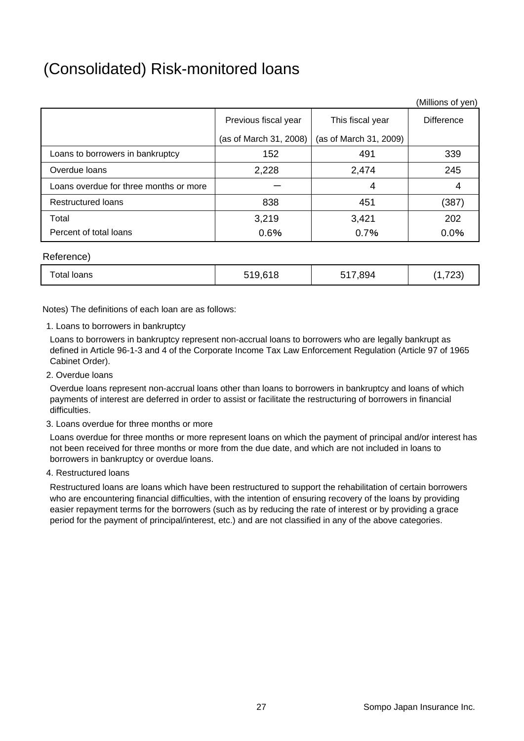# (Consolidated) Risk-monitored loans

|                                        |                        |                        | (Millions of yen) |
|----------------------------------------|------------------------|------------------------|-------------------|
|                                        | Previous fiscal year   | This fiscal year       | <b>Difference</b> |
|                                        | (as of March 31, 2008) | (as of March 31, 2009) |                   |
| Loans to borrowers in bankruptcy       | 152                    | 491                    | 339               |
| Overdue loans                          | 2,228                  | 2,474                  | 245               |
| Loans overdue for three months or more |                        | 4                      |                   |
| <b>Restructured loans</b>              | 838                    | 451                    | (387)             |
| Total                                  | 3,219                  | 3,421                  | 202               |
| Percent of total loans                 | 0.6%                   | 0.7%                   | 0.0%              |

### Reference)

| 17,894<br>$\overline{\phantom{a}}$<br>0.40<br>--<br>otal<br>loans<br>, ,<br>$\bullet$<br>∶ ∪ ک ا<br>.<br>$\overline{\phantom{0}}$ |
|-----------------------------------------------------------------------------------------------------------------------------------|
|-----------------------------------------------------------------------------------------------------------------------------------|

Notes) The definitions of each loan are as follows:

1. Loans to borrowers in bankruptcy

Loans to borrowers in bankruptcy represent non-accrual loans to borrowers who are legally bankrupt as defined in Article 96-1-3 and 4 of the Corporate Income Tax Law Enforcement Regulation (Article 97 of 1965 Cabinet Order).

2. Overdue loans

Overdue loans represent non-accrual loans other than loans to borrowers in bankruptcy and loans of which payments of interest are deferred in order to assist or facilitate the restructuring of borrowers in financial difficulties.

3. Loans overdue for three months or more

Loans overdue for three months or more represent loans on which the payment of principal and/or interest has not been received for three months or more from the due date, and which are not included in loans to borrowers in bankruptcy or overdue loans.

4. Restructured loans

Restructured loans are loans which have been restructured to support the rehabilitation of certain borrowers who are encountering financial difficulties, with the intention of ensuring recovery of the loans by providing easier repayment terms for the borrowers (such as by reducing the rate of interest or by providing a grace period for the payment of principal/interest, etc.) and are not classified in any of the above categories.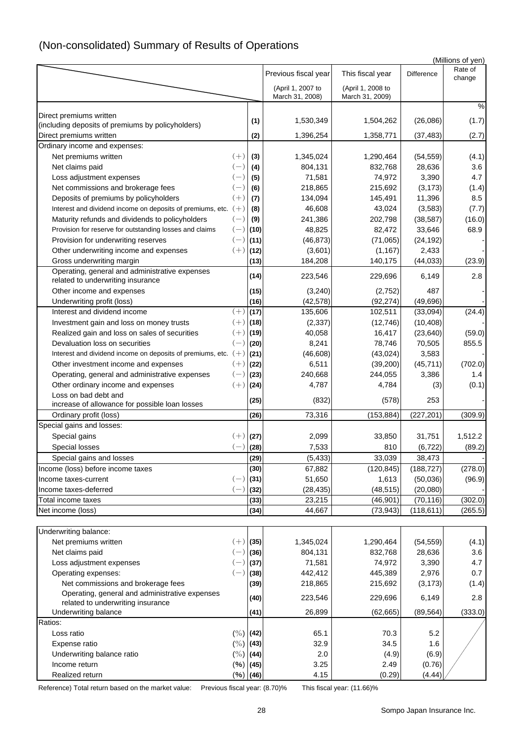|                                                                                     |                |             |                                      |                                      |                 | (Millions of yen) |
|-------------------------------------------------------------------------------------|----------------|-------------|--------------------------------------|--------------------------------------|-----------------|-------------------|
|                                                                                     |                |             | Previous fiscal year                 | This fiscal year                     | Difference      | Rate of<br>change |
|                                                                                     |                |             | (April 1, 2007 to<br>March 31, 2008) | (April 1, 2008 to<br>March 31, 2009) |                 |                   |
|                                                                                     |                |             |                                      |                                      |                 | %                 |
| Direct premiums written                                                             |                | (1)         | 1,530,349                            | 1,504,262                            | (26,086)        | (1.7)             |
| (including deposits of premiums by policyholders)                                   |                |             |                                      |                                      |                 |                   |
| Direct premiums written                                                             |                | (2)         | 1,396,254                            | 1,358,771                            | (37, 483)       | (2.7)             |
| Ordinary income and expenses:                                                       |                |             |                                      |                                      |                 |                   |
| Net premiums written                                                                | $(+)$          | (3)         | 1,345,024                            | 1,290,464                            | (54, 559)       | (4.1)             |
| Net claims paid                                                                     | $(-)$          | (4)         | 804,131                              | 832,768                              | 28,636          | 3.6               |
| Loss adjustment expenses                                                            | $(-)$          | (5)         | 71,581                               | 74,972                               | 3,390           | 4.7               |
| Net commissions and brokerage fees                                                  | $(-)$          | (6)         | 218,865                              | 215,692                              | (3, 173)        | (1.4)             |
| Deposits of premiums by policyholders                                               | $(+)$          | (7)         | 134,094                              | 145,491                              | 11,396          | 8.5               |
| Interest and dividend income on deposits of premiums, etc.                          | $(+)$          | (8)         | 46,608                               | 43,024                               | (3, 583)        | (7.7)             |
| Maturity refunds and dividends to policyholders                                     | $(-)$          | (9)         | 241,386                              | 202,798                              | (38, 587)       | (16.0)            |
| Provision for reserve for outstanding losses and claims                             | $(-)$<br>$(-)$ | (10)        | 48,825                               | 82,472                               | 33,646          | 68.9              |
| Provision for underwriting reserves                                                 |                | (11)        | (46, 873)                            | (71,065)                             | (24, 192)       |                   |
| Other underwriting income and expenses                                              | $(+)$          | (12)        | (3,601)                              | (1, 167)                             | 2,433           |                   |
| Gross underwriting margin                                                           |                | (13)        | 184,208                              | 140,175                              | (44, 033)       | (23.9)            |
| Operating, general and administrative expenses<br>related to underwriting insurance |                | (14)        | 223,546                              | 229,696                              | 6,149           | 2.8               |
| Other income and expenses                                                           |                | (15)        | (3, 240)                             | (2,752)                              | 487             |                   |
| Underwriting profit (loss)                                                          |                | (16)        | (42, 578)                            | (92, 274)                            | (49, 696)       |                   |
| Interest and dividend income                                                        | $(+)$          | (17)        | 135,606                              | 102,511                              | (33,094)        | (24.4)            |
| Investment gain and loss on money trusts                                            | $(+)$          | (18)        | (2, 337)                             | (12, 746)                            | (10, 408)       |                   |
| Realized gain and loss on sales of securities                                       | $(+)$          | (19)        | 40,058                               | 16,417                               | (23, 640)       | (59.0)            |
| Devaluation loss on securities                                                      | $(-)$          | (20)        | 8,241                                | 78,746                               | 70,505          | 855.5             |
| Interest and dividend income on deposits of premiums, etc.                          | $(+)$          | (21)        | (46, 608)                            | (43, 024)                            | 3,583           |                   |
| Other investment income and expenses                                                | $(+)$          | (22)        | 6,511                                | (39, 200)                            | (45, 711)       | (702.0)           |
| Operating, general and administrative expenses                                      | $(-)$          | (23)        | 240,668                              | 244,055                              | 3,386           | 1.4               |
| Other ordinary income and expenses                                                  | $(+)$          | (24)        | 4,787                                | 4,784                                | (3)             | (0.1)             |
| Loss on bad debt and                                                                |                | (25)        | (832)                                | (578)                                | 253             |                   |
| increase of allowance for possible loan losses                                      |                |             |                                      |                                      |                 |                   |
| Ordinary profit (loss)                                                              |                | (26)        | 73,316                               | (153, 884)                           | (227, 201)      | (309.9)           |
| Special gains and losses:                                                           |                |             |                                      |                                      |                 |                   |
| Special gains                                                                       | $(+)$          | (27)        | 2,099                                | 33,850                               | 31,751          | 1,512.2           |
| Special losses                                                                      | $(-)$          | (28)        | 7,533                                | 810                                  | (6, 722)        | (89.2)            |
| Special gains and losses                                                            |                | (29)        | (5, 433)                             | 33,039                               | 38,473          |                   |
| Income (loss) before income taxes                                                   |                | (30)        | 67,882                               | (120, 845)                           | (188, 727)      | (278.0)           |
| Income taxes-current                                                                | $(-)$          | (31)        | 51,650                               | 1,613                                | (50,036)        | (96.9)            |
| Income taxes-deferred                                                               | $(-)$          | (32)        | (28, 435)                            | (48, 515)                            | (20,080)        |                   |
| Total income taxes                                                                  |                | (33)        | 23,215                               | (46, 901)                            | (70, 116)       | (302.0)           |
| Net income (loss)                                                                   |                | (34)        | 44,667                               | (73, 943)                            | (118, 611)      | (265.5)           |
| Underwriting balance:                                                               |                |             |                                      |                                      |                 |                   |
| Net premiums written                                                                | $(+)$          | (35)        | 1,345,024                            | 1,290,464                            | (54, 559)       | (4.1)             |
| Net claims paid                                                                     | $(-)$          | (36)        | 804,131                              | 832,768                              | 28,636          | 3.6               |
| Loss adjustment expenses                                                            | $(-)$          | (37)        | 71,581                               | 74,972                               | 3,390           | 4.7               |
| Operating expenses:                                                                 | $(-)$          | (38)        | 442,412                              | 445,389                              | 2,976           | 0.7               |
| Net commissions and brokerage fees                                                  |                | (39)        | 218,865                              | 215,692                              | (3, 173)        | (1.4)             |
| Operating, general and administrative expenses                                      |                | (40)        | 223,546                              | 229,696                              | 6,149           | 2.8               |
| related to underwriting insurance                                                   |                |             |                                      |                                      |                 |                   |
| Underwriting balance<br>Ratios:                                                     |                | (41)        | 26,899                               | (62, 665)                            | (89, 564)       | (333.0)           |
| Loss ratio                                                                          |                |             | 65.1                                 | 70.3                                 | 5.2             |                   |
|                                                                                     |                | $(\%)$ (42) |                                      |                                      |                 |                   |
| Expense ratio                                                                       | (%)            | (43)        | 32.9                                 | 34.5                                 | 1.6             |                   |
| Underwriting balance ratio<br>Income return                                         | $(\% )$<br>(%) | (44)        | 2.0<br>3.25                          | (4.9)<br>2.49                        | (6.9)<br>(0.76) |                   |
|                                                                                     |                | (45)        |                                      |                                      |                 |                   |
| Realized return                                                                     | (%)            | (46)        | 4.15                                 | (0.29)                               | (4.44)          |                   |

# (Non-consolidated) Summary of Results of Operations

Reference) Total return based on the market value: Previous fiscal year: (8.70)% This fiscal year: (11.66)%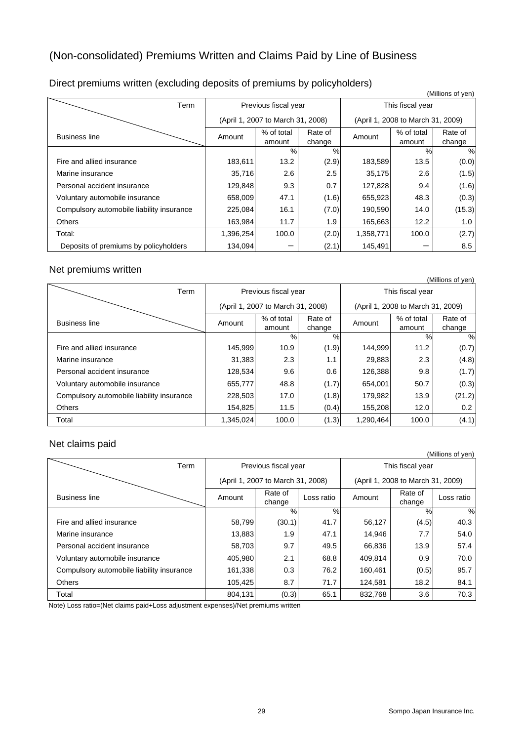# (Non-consolidated) Premiums Written and Claims Paid by Line of Business

| (Millions of yen)                         |           |                                   |                   |                                   |                      |                   |
|-------------------------------------------|-----------|-----------------------------------|-------------------|-----------------------------------|----------------------|-------------------|
| Term                                      |           | Previous fiscal year              |                   | This fiscal year                  |                      |                   |
|                                           |           | (April 1, 2007 to March 31, 2008) |                   | (April 1, 2008 to March 31, 2009) |                      |                   |
| <b>Business line</b>                      | Amount    | % of total<br>amount              | Rate of<br>change | Amount                            | % of total<br>amount | Rate of<br>change |
|                                           |           | $\%$                              | %                 |                                   | %                    | $\%$              |
| Fire and allied insurance                 | 183,611   | 13.2                              | (2.9)             | 183,589                           | 13.5                 | (0.0)             |
| Marine insurance                          | 35,716    | 2.6                               | 2.5               | 35,175                            | 2.6                  | (1.5)             |
| Personal accident insurance               | 129,848   | 9.3                               | 0.7               | 127,828                           | 9.4                  | (1.6)             |
| Voluntary automobile insurance            | 658,009   | 47.1                              | (1.6)             | 655,923                           | 48.3                 | (0.3)             |
| Compulsory automobile liability insurance | 225,084   | 16.1                              | (7.0)             | 190,590                           | 14.0                 | (15.3)            |
| <b>Others</b>                             | 163,984   | 11.7                              | 1.9               | 165,663                           | 12.2                 | 1.0               |
| Total:                                    | 1,396,254 | 100.0                             | (2.0)             | 1,358,771                         | 100.0                | (2.7)             |
| Deposits of premiums by policyholders     | 134,094   |                                   | (2.1)             | 145,491                           |                      | 8.5               |

# Direct premiums written (excluding deposits of premiums by policyholders)

### Net premiums written

|                                           |           |                                   |                   |                                   |                      | (Millions of yen) |  |
|-------------------------------------------|-----------|-----------------------------------|-------------------|-----------------------------------|----------------------|-------------------|--|
| Term                                      |           | Previous fiscal year              |                   |                                   | This fiscal year     |                   |  |
|                                           |           | (April 1, 2007 to March 31, 2008) |                   | (April 1, 2008 to March 31, 2009) |                      |                   |  |
| <b>Business line</b>                      | Amount    | % of total<br>amount              | Rate of<br>change | Amount                            | % of total<br>amount | Rate of<br>change |  |
|                                           |           | %                                 | %                 |                                   | %                    | $\%$              |  |
| Fire and allied insurance                 | 145,999   | 10.9                              | (1.9)             | 144,999                           | 11.2                 | (0.7)             |  |
| Marine insurance                          | 31,383    | 2.3                               | 1.1               | 29,883                            | 2.3                  | (4.8)             |  |
| Personal accident insurance               | 128,534   | 9.6                               | 0.6               | 126.388                           | 9.8                  | (1.7)             |  |
| Voluntary automobile insurance            | 655,777   | 48.8                              | (1.7)             | 654.001                           | 50.7                 | (0.3)             |  |
| Compulsory automobile liability insurance | 228,503   | 17.0                              | (1.8)             | 179,982                           | 13.9                 | (21.2)            |  |
| <b>Others</b>                             | 154,825   | 11.5                              | (0.4)             | 155,208                           | 12.0                 | 0.2               |  |
| Total                                     | 1,345,024 | 100.0                             | (1.3)             | 1,290,464                         | 100.0                | (4.1)             |  |

### Net claims paid

|                                           |         |                                   |            |                                   |                   | (Millions of yen) |  |
|-------------------------------------------|---------|-----------------------------------|------------|-----------------------------------|-------------------|-------------------|--|
| Term                                      |         | Previous fiscal year              |            |                                   | This fiscal year  |                   |  |
|                                           |         | (April 1, 2007 to March 31, 2008) |            | (April 1, 2008 to March 31, 2009) |                   |                   |  |
| <b>Business line</b>                      | Amount  | Rate of<br>change                 | Loss ratio | Amount                            | Rate of<br>change | Loss ratio        |  |
|                                           |         | $\%$                              | %          |                                   | $\frac{0}{0}$     | $\%$              |  |
| Fire and allied insurance                 | 58,799  | (30.1)                            | 41.7       | 56,127                            | (4.5)             | 40.3              |  |
| Marine insurance                          | 13,883  | 1.9                               | 47.1       | 14,946                            | 7.7               | 54.0              |  |
| Personal accident insurance               | 58,703  | 9.7                               | 49.5       | 66,836                            | 13.9              | 57.4              |  |
| Voluntary automobile insurance            | 405,980 | 2.1                               | 68.8       | 409,814                           | 0.9               | 70.0              |  |
| Compulsory automobile liability insurance | 161,338 | 0.3                               | 76.2       | 160,461                           | (0.5)             | 95.7              |  |
| <b>Others</b>                             | 105,425 | 8.7                               | 71.7       | 124,581                           | 18.2              | 84.1              |  |
| Total                                     | 804,131 | (0.3)                             | 65.1       | 832,768                           | 3.6               | 70.3              |  |

Note) Loss ratio=(Net claims paid+Loss adjustment expenses)/Net premiums written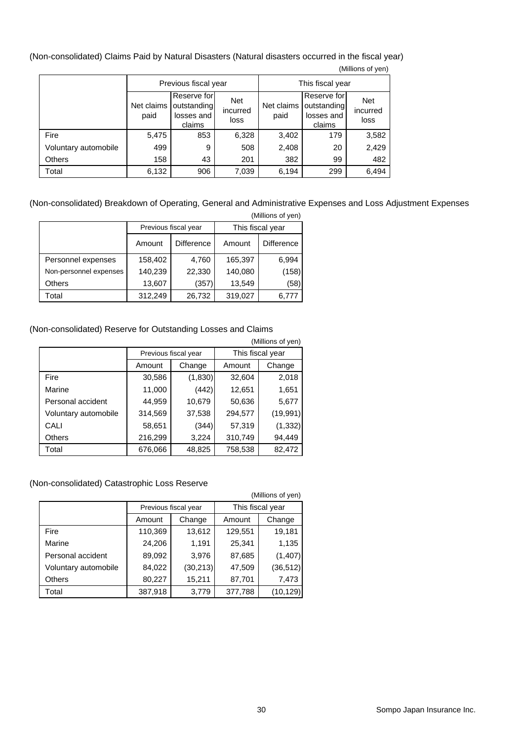(Non-consolidated) Claims Paid by Natural Disasters (Natural disasters occurred in the fiscal year) (Millions of yen)

| $\frac{1}{2}$        |                      |                                                    |                                |                    |                                                    |                                |  |
|----------------------|----------------------|----------------------------------------------------|--------------------------------|--------------------|----------------------------------------------------|--------------------------------|--|
|                      | Previous fiscal year |                                                    |                                | This fiscal year   |                                                    |                                |  |
|                      | Net claims<br>paid   | Reserve for<br>outstanding<br>losses and<br>claims | <b>Net</b><br>incurred<br>loss | Net claims<br>paid | Reserve for<br>outstanding<br>losses and<br>claims | <b>Net</b><br>incurred<br>loss |  |
| Fire                 | 5,475                | 853                                                | 6,328                          | 3,402              | 179                                                | 3,582                          |  |
| Voluntary automobile | 499                  | 9                                                  | 508                            | 2,408              | 20                                                 | 2,429                          |  |
| <b>Others</b>        | 158                  | 43                                                 | 201                            | 382                | 99                                                 | 482                            |  |
| Total                | 6,132                | 906                                                | 7,039                          | 6,194              | 299                                                | 6,494                          |  |

#### (Non-consolidated) Breakdown of Operating, General and Administrative Expenses and Loss Adjustment Expenses  $(M)$ llions of y

| (Millions of yen)      |         |                      |                  |                   |  |  |  |  |
|------------------------|---------|----------------------|------------------|-------------------|--|--|--|--|
|                        |         | Previous fiscal year | This fiscal year |                   |  |  |  |  |
|                        | Amount  | Difference           | Amount           | <b>Difference</b> |  |  |  |  |
| Personnel expenses     | 158,402 | 4,760                | 165,397          | 6,994             |  |  |  |  |
| Non-personnel expenses | 140,239 | 22,330               | 140,080          | (158)             |  |  |  |  |
| <b>Others</b>          | 13,607  | (357)                | 13,549           | (58)              |  |  |  |  |
| Total                  | 312,249 | 26,732               | 319,027          | 6,777             |  |  |  |  |

### (Non-consolidated) Reserve for Outstanding Losses and Claims

| (Millions of yen)    |                      |         |                  |          |
|----------------------|----------------------|---------|------------------|----------|
|                      | Previous fiscal year |         | This fiscal year |          |
|                      | Amount               | Change  | Amount           | Change   |
| Fire                 | 30,586               | (1,830) | 32,604           | 2,018    |
| Marine               | 11,000               | (442)   | 12,651           | 1,651    |
| Personal accident    | 44,959               | 10,679  | 50,636           | 5,677    |
| Voluntary automobile | 314,569              | 37,538  | 294,577          | (19,991) |
| CALI                 | 58,651               | (344)   | 57,319           | (1, 332) |
| Others               | 216,299              | 3,224   | 310,749          | 94,449   |
| Total                | 676,066              | 48,825  | 758,538          | 82,472   |

### (Non-consolidated) Catastrophic Loss Reserve

 (Millions of yen) Previous fiscal year | This fiscal year Amount | Change | Amount | Change Fire 110,369 13,612 129,551 19,181 Marine 1,196 24,206 1,191 25,341 1,135 Personal accident | 89,092 | 3,976 | 87,685 | (1,407) Voluntary automobile 84,022 (30,213) 47,509 (36,512) Others 80,227 15,211 87,701 7,473 Total 387,918 3,779 377,788 (10,129)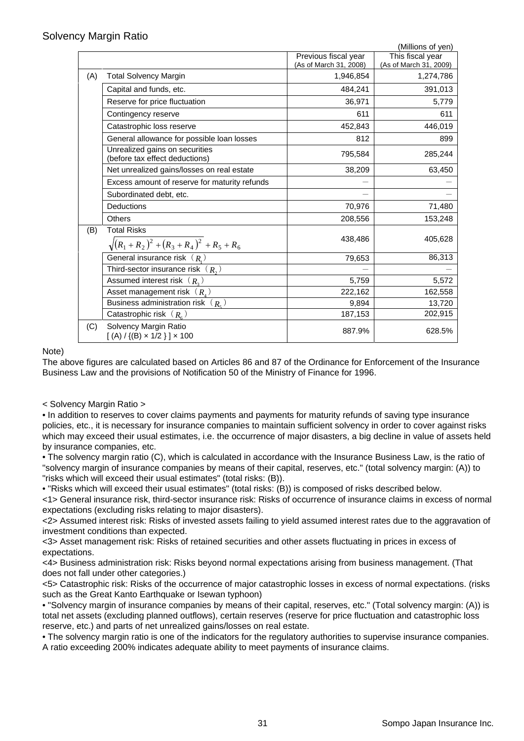|     |                                                                  |                        | (Millions of yen)      |
|-----|------------------------------------------------------------------|------------------------|------------------------|
|     |                                                                  | Previous fiscal year   | This fiscal year       |
|     |                                                                  | (As of March 31, 2008) | (As of March 31, 2009) |
| (A) | <b>Total Solvency Margin</b>                                     | 1,946,854              | 1,274,786              |
|     | Capital and funds, etc.                                          | 484,241                | 391,013                |
|     | Reserve for price fluctuation                                    | 36,971                 | 5,779                  |
|     | Contingency reserve                                              | 611                    | 611                    |
|     | Catastrophic loss reserve                                        | 452,843                | 446,019                |
|     | General allowance for possible loan losses                       | 812                    | 899                    |
|     | Unrealized gains on securities<br>(before tax effect deductions) | 795,584                | 285,244                |
|     | Net unrealized gains/losses on real estate                       | 38,209                 | 63,450                 |
|     | Excess amount of reserve for maturity refunds                    |                        |                        |
|     | Subordinated debt, etc.                                          |                        |                        |
|     | <b>Deductions</b>                                                | 70,976                 | 71,480                 |
|     | <b>Others</b>                                                    | 208,556                | 153,248                |
| (B) | <b>Total Risks</b>                                               |                        |                        |
|     | $\sqrt{(R_1+R_2)^2+(R_3+R_4)^2+R_5+R_6}$                         | 438,486                | 405,628                |
|     | General insurance risk $(R_1)$                                   | 79,653                 | 86,313                 |
|     | Third-sector insurance risk $(R_2)$                              |                        |                        |
|     | Assumed interest risk $(R_{3})$                                  | 5,759                  | 5,572                  |
|     | Asset management risk $(R_{\mu})$                                | 222,162                | 162,558                |
|     | Business administration risk $(R_s)$                             | 9,894                  | 13,720                 |
|     | Catastrophic risk $(R_{\epsilon})$                               | 187,153                | 202,915                |
| (C) | Solvency Margin Ratio<br>$[(A) / {(B) \times 1/2}] \times 100$   | 887.9%                 | 628.5%                 |

Note)

The above figures are calculated based on Articles 86 and 87 of the Ordinance for Enforcement of the Insurance Business Law and the provisions of Notification 50 of the Ministry of Finance for 1996.

< Solvency Margin Ratio >

• In addition to reserves to cover claims payments and payments for maturity refunds of saving type insurance policies, etc., it is necessary for insurance companies to maintain sufficient solvency in order to cover against risks which may exceed their usual estimates, i.e. the occurrence of major disasters, a big decline in value of assets held by insurance companies, etc.

• The solvency margin ratio (C), which is calculated in accordance with the Insurance Business Law, is the ratio of "solvency margin of insurance companies by means of their capital, reserves, etc." (total solvency margin: (A)) to "risks which will exceed their usual estimates" (total risks: (B)).

• "Risks which will exceed their usual estimates" (total risks: (B)) is composed of risks described below.

<1> General insurance risk, third-sector insurance risk: Risks of occurrence of insurance claims in excess of normal expectations (excluding risks relating to major disasters).

<2> Assumed interest risk: Risks of invested assets failing to yield assumed interest rates due to the aggravation of investment conditions than expected.

<3> Asset management risk: Risks of retained securities and other assets fluctuating in prices in excess of expectations.

<4> Business administration risk: Risks beyond normal expectations arising from business management. (That does not fall under other categories.)

<5> Catastrophic risk: Risks of the occurrence of major catastrophic losses in excess of normal expectations. (risks such as the Great Kanto Earthquake or Isewan typhoon)

• "Solvency margin of insurance companies by means of their capital, reserves, etc." (Total solvency margin: (A)) is total net assets (excluding planned outflows), certain reserves (reserve for price fluctuation and catastrophic loss reserve, etc.) and parts of net unrealized gains/losses on real estate.

• The solvency margin ratio is one of the indicators for the regulatory authorities to supervise insurance companies. A ratio exceeding 200% indicates adequate ability to meet payments of insurance claims.